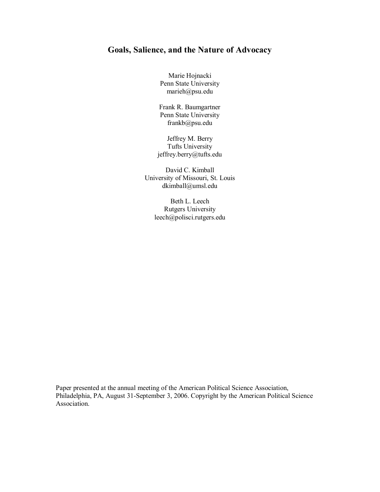# **Goals, Salience, and the Nature of Advocacy**

Marie Hojnacki Penn State University marieh@psu.edu

Frank R. Baumgartner Penn State University frankb@psu.edu

Jeffrey M. Berry Tufts University jeffrey.berry@tufts.edu

David C. Kimball University of Missouri, St. Louis dkimball@umsl.edu

> Beth L. Leech Rutgers University leech@polisci.rutgers.edu

Paper presented at the annual meeting of the American Political Science Association, Philadelphia, PA, August 31-September 3, 2006. Copyright by the American Political Science Association.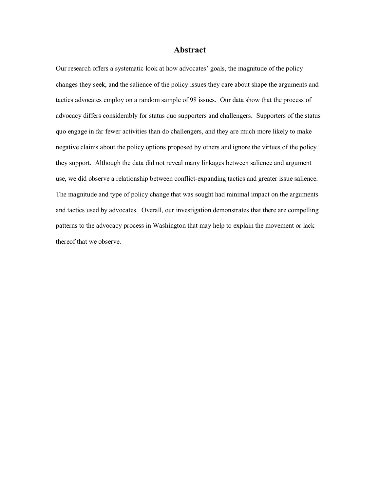# **Abstract**

Our research offers a systematic look at how advocates' goals, the magnitude of the policy changes they seek, and the salience of the policy issues they care about shape the arguments and tactics advocates employ on a random sample of 98 issues. Our data show that the process of advocacy differs considerably for status quo supporters and challengers. Supporters of the status quo engage in far fewer activities than do challengers, and they are much more likely to make negative claims about the policy options proposed by others and ignore the virtues of the policy they support. Although the data did not reveal many linkages between salience and argument use, we did observe a relationship between conflict-expanding tactics and greater issue salience. The magnitude and type of policy change that was sought had minimal impact on the arguments and tactics used by advocates. Overall, our investigation demonstrates that there are compelling patterns to the advocacy process in Washington that may help to explain the movement or lack thereof that we observe.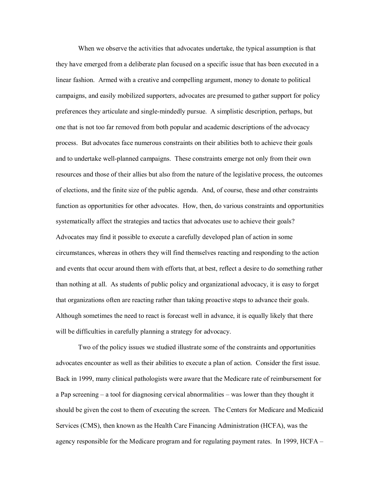When we observe the activities that advocates undertake, the typical assumption is that they have emerged from a deliberate plan focused on a specific issue that has been executed in a linear fashion. Armed with a creative and compelling argument, money to donate to political campaigns, and easily mobilized supporters, advocates are presumed to gather support for policy preferences they articulate and single-mindedly pursue. A simplistic description, perhaps, but one that is not too far removed from both popular and academic descriptions of the advocacy process. But advocates face numerous constraints on their abilities both to achieve their goals and to undertake well-planned campaigns. These constraints emerge not only from their own resources and those of their allies but also from the nature of the legislative process, the outcomes of elections, and the finite size of the public agenda. And, of course, these and other constraints function as opportunities for other advocates. How, then, do various constraints and opportunities systematically affect the strategies and tactics that advocates use to achieve their goals? Advocates may find it possible to execute a carefully developed plan of action in some circumstances, whereas in others they will find themselves reacting and responding to the action and events that occur around them with efforts that, at best, reflect a desire to do something rather than nothing at all. As students of public policy and organizational advocacy, it is easy to forget that organizations often are reacting rather than taking proactive steps to advance their goals. Although sometimes the need to react is forecast well in advance, it is equally likely that there will be difficulties in carefully planning a strategy for advocacy.

Two of the policy issues we studied illustrate some of the constraints and opportunities advocates encounter as well as their abilities to execute a plan of action. Consider the first issue. Back in 1999, many clinical pathologists were aware that the Medicare rate of reimbursement for a Pap screening – a tool for diagnosing cervical abnormalities – was lower than they thought it should be given the cost to them of executing the screen. The Centers for Medicare and Medicaid Services (CMS), then known as the Health Care Financing Administration (HCFA), was the agency responsible for the Medicare program and for regulating payment rates. In 1999, HCFA –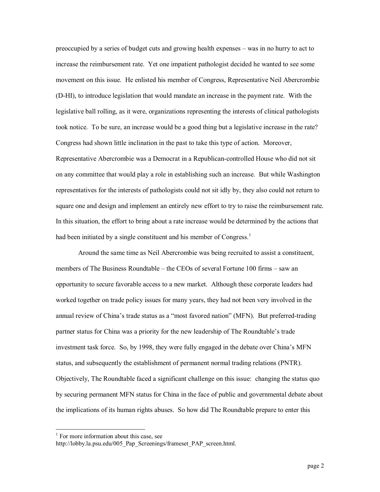preoccupied by a series of budget cuts and growing health expenses – was in no hurry to act to increase the reimbursement rate. Yet one impatient pathologist decided he wanted to see some movement on this issue. He enlisted his member of Congress, Representative Neil Abercrombie (DHI), to introduce legislation that would mandate an increase in the payment rate. With the legislative ball rolling, as it were, organizations representing the interests of clinical pathologists took notice. To be sure, an increase would be a good thing but a legislative increase in the rate? Congress had shown little inclination in the past to take this type of action. Moreover, Representative Abercrombie was a Democrat in a Republican-controlled House who did not sit on any committee that would play a role in establishing such an increase. But while Washington representatives for the interests of pathologists could not sit idly by, they also could not return to square one and design and implement an entirely new effort to try to raise the reimbursement rate. In this situation, the effort to bring about a rate increase would be determined by the actions that had been initiated by a single constituent and his member of Congress.<sup>1</sup>

Around the same time as Neil Abercrombie was being recruited to assist a constituent, members of The Business Roundtable – the CEOs of several Fortune 100 firms – saw an opportunity to secure favorable access to a new market. Although these corporate leaders had worked together on trade policy issues for many years, they had not been very involved in the annual review of China's trade status as a "most favored nation" (MFN). But preferred-trading partner status for China was a priority for the new leadership of The Roundtable's trade investment task force. So, by 1998, they were fully engaged in the debate over China's MFN status, and subsequently the establishment of permanent normal trading relations (PNTR). Objectively, The Roundtable faced a significant challenge on this issue: changing the status quo by securing permanent MFN status for China in the face of public and governmental debate about the implications of its human rights abuses. So how did The Roundtable prepare to enter this

 $<sup>1</sup>$  For more information about this case, see</sup>

http://lobby.la.psu.edu/005\_Pap\_Screenings/frameset\_PAP\_screen.html.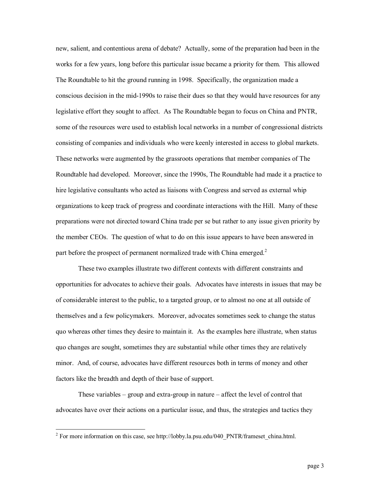new, salient, and contentious arena of debate? Actually, some of the preparation had been in the works for a few years, long before this particular issue became a priority for them. This allowed The Roundtable to hit the ground running in 1998. Specifically, the organization made a conscious decision in the mid-1990s to raise their dues so that they would have resources for any legislative effort they sought to affect. As The Roundtable began to focus on China and PNTR, some of the resources were used to establish local networks in a number of congressional districts consisting of companies and individuals who were keenly interested in access to global markets. These networks were augmented by the grassroots operations that member companies of The Roundtable had developed. Moreover, since the 1990s, The Roundtable had made it a practice to hire legislative consultants who acted as liaisons with Congress and served as external whip organizations to keep track of progress and coordinate interactions with the Hill. Many of these preparations were not directed toward China trade per se but rather to any issue given priority by the member CEOs. The question of what to do on this issue appears to have been answered in part before the prospect of permanent normalized trade with China emerged.<sup>2</sup>

These two examples illustrate two different contexts with different constraints and opportunities for advocates to achieve their goals. Advocates have interests in issues that may be of considerable interest to the public, to a targeted group, or to almost no one at all outside of themselves and a few policymakers. Moreover, advocates sometimes seek to change the status quo whereas other times they desire to maintain it. As the examples here illustrate, when status quo changes are sought, sometimes they are substantial while other times they are relatively minor. And, of course, advocates have different resources both in terms of money and other factors like the breadth and depth of their base of support.

These variables  $-$  group and extra-group in nature  $-$  affect the level of control that advocates have over their actions on a particular issue, and thus, the strategies and tactics they

 $2^2$  For more information on this case, see http://lobby.la.psu.edu/040\_PNTR/frameset\_china.html.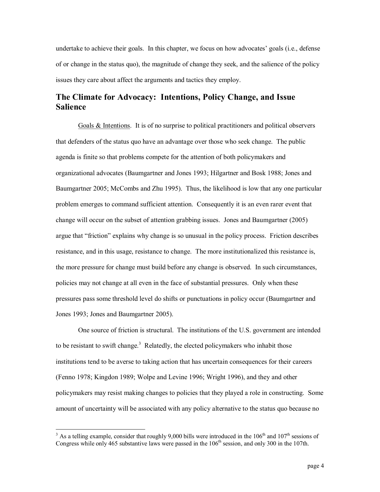undertake to achieve their goals. In this chapter, we focus on how advocates' goals (i.e., defense of or change in the status quo), the magnitude of change they seek, and the salience of the policy issues they care about affect the arguments and tactics they employ.

# **The Climate for Advocacy: Intentions, Policy Change, and Issue Salience**

Goals & Intentions. It is of no surprise to political practitioners and political observers that defenders of the status quo have an advantage over those who seek change. The public agenda is finite so that problems compete for the attention of both policymakers and organizational advocates (Baumgartner and Jones 1993; Hilgartner and Bosk 1988; Jones and Baumgartner 2005; McCombs and Zhu 1995). Thus, the likelihood is low that any one particular problem emerges to command sufficient attention. Consequently it is an even rarer event that change will occur on the subset of attention grabbing issues. Jones and Baumgartner (2005) argue that "friction" explains why change is so unusual in the policy process. Friction describes resistance, and in this usage, resistance to change. The more institutionalized this resistance is, the more pressure for change must build before any change is observed. In such circumstances, policies may not change at all even in the face of substantial pressures. Only when these pressures pass some threshold level do shifts or punctuations in policy occur (Baumgartner and Jones 1993; Jones and Baumgartner 2005).

One source of friction is structural. The institutions of the U.S. government are intended to be resistant to swift change.<sup>3</sup> Relatedly, the elected policymakers who inhabit those institutions tend to be averse to taking action that has uncertain consequences for their careers (Fenno 1978; Kingdon 1989; Wolpe and Levine 1996; Wright 1996), and they and other policymakers may resist making changes to policies that they played a role in constructing. Some amount of uncertainty will be associated with any policy alternative to the status quo because no

<sup>&</sup>lt;sup>3</sup> As a telling example, consider that roughly 9,000 bills were introduced in the  $106<sup>th</sup>$  and  $107<sup>th</sup>$  sessions of Congress while only 465 substantive laws were passed in the 106<sup>th</sup> session, and only 300 in the 107th.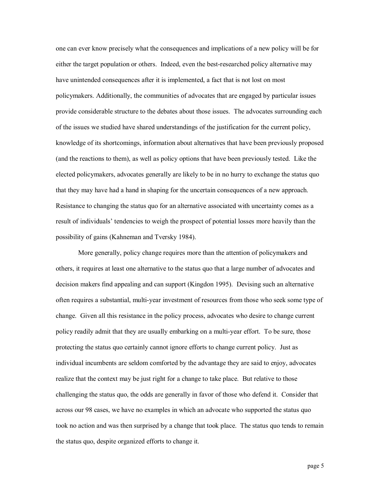one can ever know precisely what the consequences and implications of a new policy will be for either the target population or others. Indeed, even the best-researched policy alternative may have unintended consequences after it is implemented, a fact that is not lost on most policymakers. Additionally, the communities of advocates that are engaged by particular issues provide considerable structure to the debates about those issues. The advocates surrounding each of the issues we studied have shared understandings of the justification for the current policy, knowledge of its shortcomings, information about alternatives that have been previously proposed (and the reactions to them), as well as policy options that have been previously tested. Like the elected policymakers, advocates generally are likely to be in no hurry to exchange the status quo that they may have had a hand in shaping for the uncertain consequences of a new approach. Resistance to changing the status quo for an alternative associated with uncertainty comes as a result of individuals' tendencies to weigh the prospect of potential losses more heavily than the possibility of gains (Kahneman and Tversky 1984).

More generally, policy change requires more than the attention of policymakers and others, it requires at least one alternative to the status quo that a large number of advocates and decision makers find appealing and can support (Kingdon 1995). Devising such an alternative often requires a substantial, multi-year investment of resources from those who seek some type of change. Given all this resistance in the policy process, advocates who desire to change current policy readily admit that they are usually embarking on a multi-year effort. To be sure, those protecting the status quo certainly cannot ignore efforts to change current policy. Just as individual incumbents are seldom comforted by the advantage they are said to enjoy, advocates realize that the context may be just right for a change to take place. But relative to those challenging the status quo, the odds are generally in favor of those who defend it. Consider that across our 98 cases, we have no examples in which an advocate who supported the status quo took no action and was then surprised by a change that took place. The status quo tends to remain the status quo, despite organized efforts to change it.

page 5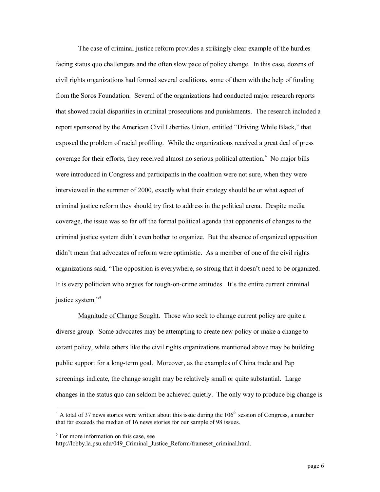The case of criminal justice reform provides a strikingly clear example of the hurdles facing status quo challengers and the often slow pace of policy change. In this case, dozens of civil rights organizations had formed several coalitions, some of them with the help of funding from the Soros Foundation. Several of the organizations had conducted major research reports that showed racial disparities in criminal prosecutions and punishments. The research included a report sponsored by the American Civil Liberties Union, entitled "Driving While Black," that exposed the problem of racial profiling. While the organizations received a great deal of press coverage for their efforts, they received almost no serious political attention.<sup>4</sup> No major bills were introduced in Congress and participants in the coalition were not sure, when they were interviewed in the summer of 2000, exactly what their strategy should be or what aspect of criminal justice reform they should try first to address in the political arena. Despite media coverage, the issue was so far off the formal political agenda that opponents of changes to the criminal justice system didn't even bother to organize. But the absence of organized opposition didn't mean that advocates of reform were optimistic. As a member of one of the civil rights organizations said, "The opposition is everywhere, so strong that it doesn't need to be organized. It is every politician who argues for tough-on-crime attitudes. It's the entire current criminal justice system."<sup>5</sup>

Magnitude of Change Sought. Those who seek to change current policy are quite a diverse group. Some advocates may be attempting to create new policy or make a change to extant policy, while others like the civil rights organizations mentioned above may be building public support for a long-term goal. Moreover, as the examples of China trade and Pap screenings indicate, the change sought may be relatively small or quite substantial. Large changes in the status quo can seldom be achieved quietly. The only way to produce big change is

 $4$  A total of 37 news stories were written about this issue during the  $106<sup>th</sup>$  session of Congress, a number that far exceeds the median of 16 news stories for our sample of 98 issues.

 $<sup>5</sup>$  For more information on this case, see</sup>

http://lobby.la.psu.edu/049 Criminal Justice Reform/frameset criminal.html.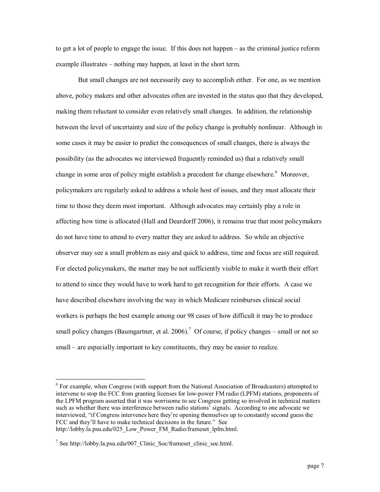to get a lot of people to engage the issue. If this does not happen – as the criminal justice reform example illustrates – nothing may happen, at least in the short term.

But small changes are not necessarily easy to accomplish either. For one, as we mention above, policy makers and other advocates often are invested in the status quo that they developed, making them reluctant to consider even relatively small changes. In addition, the relationship between the level of uncertainty and size of the policy change is probably nonlinear. Although in some cases it may be easier to predict the consequences of small changes, there is always the possibility (as the advocates we interviewed frequently reminded us) that a relatively small change in some area of policy might establish a precedent for change elsewhere.<sup>6</sup> Moreover, policymakers are regularly asked to address a whole host of issues, and they must allocate their time to those they deem most important. Although advocates may certainly play a role in affecting how time is allocated (Hall and Deardorff 2006), it remains true that most policymakers do not have time to attend to every matter they are asked to address. So while an objective observer may see a small problem as easy and quick to address, time and focus are still required. For elected policymakers, the matter may be not sufficiently visible to make it worth their effort to attend to since they would have to work hard to get recognition for their efforts. A case we have described elsewhere involving the way in which Medicare reimburses clinical social workers is perhaps the best example among our 98 cases of how difficult it may be to produce small policy changes (Baumgartner, et al. 2006).<sup>7</sup> Of course, if policy changes – small or not so small – are especially important to key constituents, they may be easier to realize.

<sup>&</sup>lt;sup>6</sup> For example, when Congress (with support from the National Association of Broadcasters) attempted to intervene to stop the FCC from granting licenses for lowpower FM radio (LPFM) stations, proponents of the LPFM program asserted that it was worrisome to see Congress getting so involved in technical matters such as whether there was interference between radio stations' signals. According to one advocate we interviewed, "if Congress intervenes here they're opening themselves up to constantly second guess the FCC and they'll have to make technical decisions in the future." See http://lobby.la.psu.edu/025\_Low\_Power\_FM\_Radio/frameset\_lpfm.html.

<sup>&</sup>lt;sup>7</sup> See http://lobby.la.psu.edu/007 Clinic\_Soc/frameset\_clinic\_soc.html.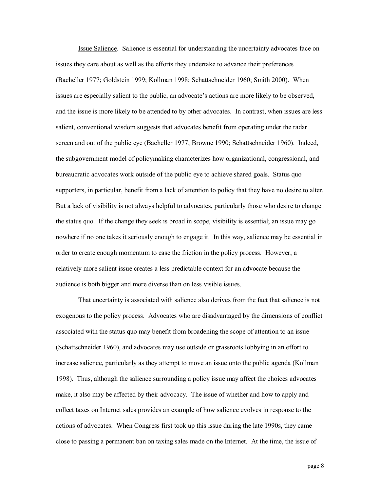Issue Salience. Salience is essential for understanding the uncertainty advocates face on issues they care about as well as the efforts they undertake to advance their preferences (Bacheller 1977; Goldstein 1999; Kollman 1998; Schattschneider 1960; Smith 2000). When issues are especially salient to the public, an advocate's actions are more likely to be observed, and the issue is more likely to be attended to by other advocates. In contrast, when issues are less salient, conventional wisdom suggests that advocates benefit from operating under the radar screen and out of the public eye (Bacheller 1977; Browne 1990; Schattschneider 1960). Indeed, the subgovernment model of policymaking characterizes how organizational, congressional, and bureaucratic advocates work outside of the public eye to achieve shared goals. Status quo supporters, in particular, benefit from a lack of attention to policy that they have no desire to alter. But a lack of visibility is not always helpful to advocates, particularly those who desire to change the status quo. If the change they seek is broad in scope, visibility is essential; an issue may go nowhere if no one takes it seriously enough to engage it. In this way, salience may be essential in order to create enough momentum to ease the friction in the policy process. However, a relatively more salient issue creates a less predictable context for an advocate because the audience is both bigger and more diverse than on less visible issues.

That uncertainty is associated with salience also derives from the fact that salience is not exogenous to the policy process. Advocates who are disadvantaged by the dimensions of conflict associated with the status quo may benefit from broadening the scope of attention to an issue (Schattschneider 1960), and advocates may use outside or grassroots lobbying in an effort to increase salience, particularly as they attempt to move an issue onto the public agenda (Kollman 1998). Thus, although the salience surrounding a policy issue may affect the choices advocates make, it also may be affected by their advocacy. The issue of whether and how to apply and collect taxes on Internet sales provides an example of how salience evolves in response to the actions of advocates. When Congress first took up this issue during the late 1990s, they came close to passing a permanent ban on taxing sales made on the Internet. At the time, the issue of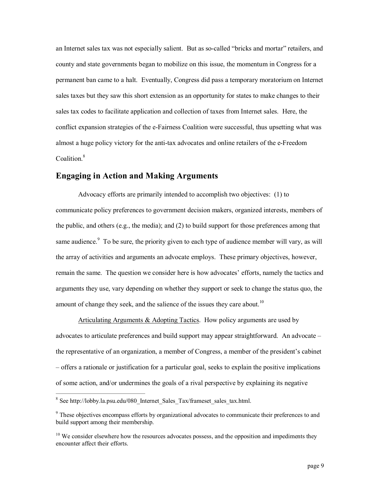an Internet sales tax was not especially salient. But as socalled "bricks and mortar" retailers, and county and state governments began to mobilize on this issue, the momentum in Congress for a permanent ban came to a halt. Eventually, Congress did pass a temporary moratorium on Internet sales taxes but they saw this short extension as an opportunity for states to make changes to their sales tax codes to facilitate application and collection of taxes from Internet sales. Here, the conflict expansion strategies of the e-Fairness Coalition were successful, thus upsetting what was almost a huge policy victory for the anti-tax advocates and online retailers of the e-Freedom Coalition $8$ 

# **Engaging in Action and Making Arguments**

Advocacy efforts are primarily intended to accomplish two objectives: (1) to communicate policy preferences to government decision makers, organized interests, members of the public, and others (e.g., the media); and (2) to build support for those preferences among that same audience. $9\text{ To be sure, the priority given to each type of audience member will vary, as will$ the array of activities and arguments an advocate employs. These primary objectives, however, remain the same. The question we consider here is how advocates' efforts, namely the tactics and arguments they use, vary depending on whether they support or seek to change the status quo, the amount of change they seek, and the salience of the issues they care about.<sup>10</sup>

Articulating Arguments & Adopting Tactics. How policy arguments are used by advocates to articulate preferences and build support may appear straightforward. An advocate – the representative of an organization, a member of Congress, a member of the president's cabinet – offers a rationale or justification for a particular goal, seeks to explain the positive implications of some action, and/or undermines the goals of a rival perspective by explaining its negative

<sup>&</sup>lt;sup>8</sup> See http://lobby.la.psu.edu/080\_Internet\_Sales\_Tax/frameset\_sales\_tax.html.

<sup>&</sup>lt;sup>9</sup> These objectives encompass efforts by organizational advocates to communicate their preferences to and build support among their membership.

 $10$  We consider elsewhere how the resources advocates possess, and the opposition and impediments they encounter affect their efforts.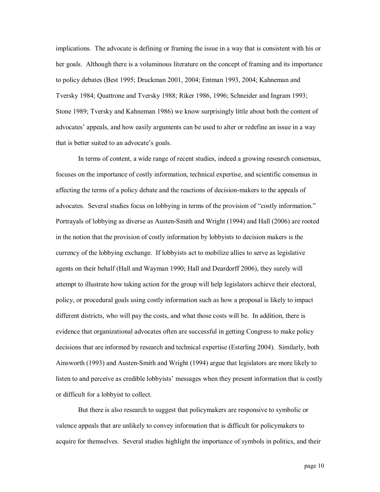implications. The advocate is defining or framing the issue in a way that is consistent with his or her goals. Although there is a voluminous literature on the concept of framing and its importance to policy debates (Best 1995; Druckman 2001, 2004; Entman 1993, 2004; Kahneman and Tversky 1984; Quattrone and Tversky 1988; Riker 1986, 1996; Schneider and Ingram 1993; Stone 1989; Tversky and Kahneman 1986) we know surprisingly little about both the content of advocates' appeals, and how easily arguments can be used to alter or redefine an issue in a way that is better suited to an advocate's goals.

In terms of content, a wide range of recent studies, indeed a growing research consensus, focuses on the importance of costly information, technical expertise, and scientific consensus in affecting the terms of a policy debate and the reactions of decision-makers to the appeals of advocates. Several studies focus on lobbying in terms of the provision of "costly information." Portrayals of lobbying as diverse as Austen-Smith and Wright (1994) and Hall (2006) are rooted in the notion that the provision of costly information by lobbyists to decision makers is the currency of the lobbying exchange. If lobbyists act to mobilize allies to serve as legislative agents on their behalf (Hall and Wayman 1990; Hall and Deardorff 2006), they surely will attempt to illustrate how taking action for the group will help legislators achieve their electoral, policy, or procedural goals using costly information such as how a proposal is likely to impact different districts, who will pay the costs, and what those costs will be. In addition, there is evidence that organizational advocates often are successful in getting Congress to make policy decisions that are informed by research and technical expertise (Esterling 2004). Similarly, both Ainsworth (1993) and Austen-Smith and Wright (1994) argue that legislators are more likely to listen to and perceive as credible lobbyists' messages when they present information that is costly or difficult for a lobbyist to collect.

But there is also research to suggest that policymakers are responsive to symbolic or valence appeals that are unlikely to convey information that is difficult for policymakers to acquire for themselves. Several studies highlight the importance of symbols in politics, and their

page 10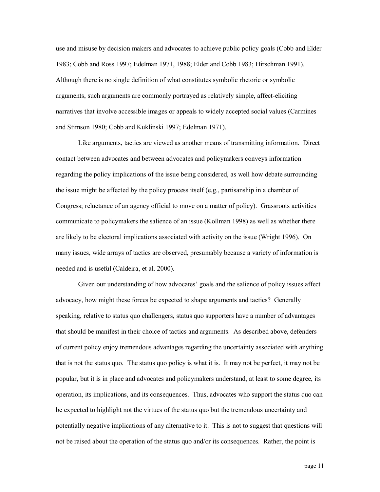use and misuse by decision makers and advocates to achieve public policy goals (Cobb and Elder 1983; Cobb and Ross 1997; Edelman 1971, 1988; Elder and Cobb 1983; Hirschman 1991). Although there is no single definition of what constitutes symbolic rhetoric or symbolic arguments, such arguments are commonly portrayed as relatively simple, affect-eliciting narratives that involve accessible images or appeals to widely accepted social values (Carmines and Stimson 1980; Cobb and Kuklinski 1997; Edelman 1971).

Like arguments, tactics are viewed as another means of transmitting information. Direct contact between advocates and between advocates and policymakers conveys information regarding the policy implications of the issue being considered, as well how debate surrounding the issue might be affected by the policy process itself (e.g., partisanship in a chamber of Congress; reluctance of an agency official to move on a matter of policy). Grassroots activities communicate to policymakers the salience of an issue (Kollman 1998) as well as whether there are likely to be electoral implications associated with activity on the issue (Wright 1996). On many issues, wide arrays of tactics are observed, presumably because a variety of information is needed and is useful (Caldeira, et al. 2000).

Given our understanding of how advocates' goals and the salience of policy issues affect advocacy, how might these forces be expected to shape arguments and tactics? Generally speaking, relative to status quo challengers, status quo supporters have a number of advantages that should be manifest in their choice of tactics and arguments. As described above, defenders of current policy enjoy tremendous advantages regarding the uncertainty associated with anything that is not the status quo. The status quo policy is what it is. It may not be perfect, it may not be popular, but it is in place and advocates and policymakers understand, at least to some degree, its operation, its implications, and its consequences. Thus, advocates who support the status quo can be expected to highlight not the virtues of the status quo but the tremendous uncertainty and potentially negative implications of any alternative to it. This is not to suggest that questions will not be raised about the operation of the status quo and/or its consequences. Rather, the point is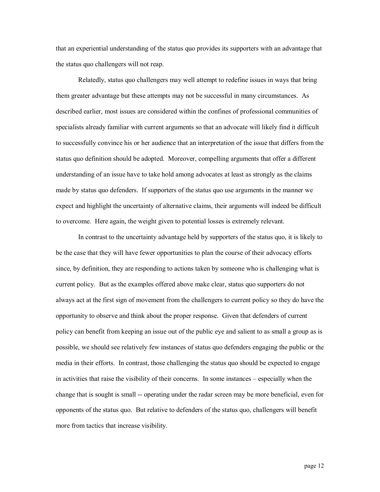that an experiential understanding of the status quo provides its supporters with an advantage that the status quo challengers will not reap.

Relatedly, status quo challengers may well attempt to redefine issues in ways that bring them greater advantage but these attempts may not be successful in many circumstances. As described earlier, most issues are considered within the confines of professional communities of specialists already familiar with current arguments so that an advocate will likely find it difficult to successfully convince his or her audience that an interpretation of the issue that differs from the status quo definition should be adopted. Moreover, compelling arguments that offer a different understanding of an issue have to take hold among advocates at least as strongly as the claims made by status quo defenders. If supporters of the status quo use arguments in the manner we expect and highlight the uncertainty of alternative claims, their arguments will indeed be difficult to overcome. Here again, the weight given to potential losses is extremely relevant.

In contrast to the uncertainty advantage held by supporters of the status quo, it is likely to be the case that they will have fewer opportunities to plan the course of their advocacy efforts since, by definition, they are responding to actions taken by someone who is challenging what is current policy. But as the examples offered above make clear, status quo supporters do not always act at the first sign of movement from the challengers to current policy so they do have the opportunity to observe and think about the proper response. Given that defenders of current policy can benefit from keeping an issue out of the public eye and salient to as small a group as is possible, we should see relatively few instances of status quo defenders engaging the public or the media in their efforts. In contrast, those challenging the status quo should be expected to engage in activities that raise the visibility of their concerns. In some instances – especially when the change that is sought is small -- operating under the radar screen may be more beneficial, even for opponents of the status quo. But relative to defenders of the status quo, challengers will benefit more from tactics that increase visibility.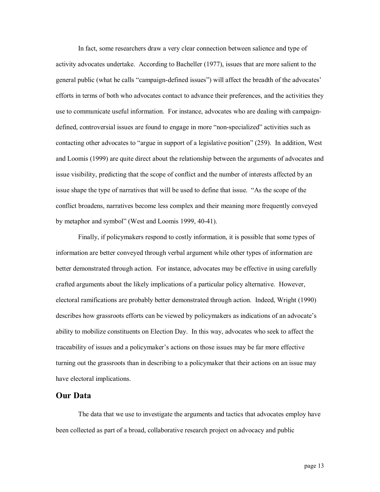In fact, some researchers draw a very clear connection between salience and type of activity advocates undertake. According to Bacheller (1977), issues that are more salient to the general public (what he calls "campaign-defined issues") will affect the breadth of the advocates' efforts in terms of both who advocates contact to advance their preferences, and the activities they use to communicate useful information. For instance, advocates who are dealing with campaigndefined, controversial issues are found to engage in more "nonspecialized" activities such as contacting other advocates to "argue in support of a legislative position" (259). In addition, West and Loomis (1999) are quite direct about the relationship between the arguments of advocates and issue visibility, predicting that the scope of conflict and the number of interests affected by an issue shape the type of narratives that will be used to define that issue. "As the scope of the conflict broadens, narratives become less complex and their meaning more frequently conveyed by metaphor and symbol" (West and Loomis 1999, 40-41).

Finally, if policymakers respond to costly information, it is possible that some types of information are better conveyed through verbal argument while other types of information are better demonstrated through action. For instance, advocates may be effective in using carefully crafted arguments about the likely implications of a particular policy alternative. However, electoral ramifications are probably better demonstrated through action. Indeed, Wright (1990) describes how grassroots efforts can be viewed by policymakers as indications of an advocate's ability to mobilize constituents on Election Day. In this way, advocates who seek to affect the traceability of issues and a policymaker's actions on those issues may be far more effective turning out the grassroots than in describing to a policymaker that their actions on an issue may have electoral implications.

# **Our Data**

The data that we use to investigate the arguments and tactics that advocates employ have been collected as part of a broad, collaborative research project on advocacy and public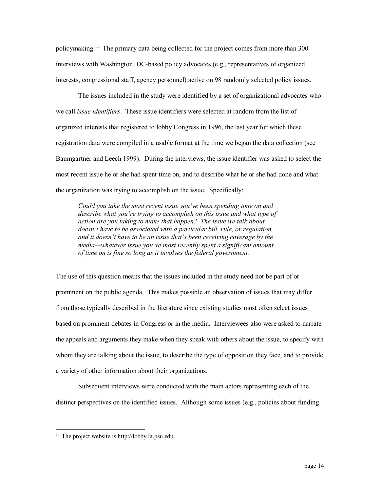policymaking.<sup>11</sup> The primary data being collected for the project comes from more than 300 interviews with Washington, DC-based policy advocates (e.g., representatives of organized interests, congressional staff, agency personnel) active on 98 randomly selected policy issues.

The issues included in the study were identified by a set of organizational advocates who we call *issue identifiers*. These issue identifiers were selected at random from the list of organized interests that registered to lobby Congress in 1996, the last year for which these registration data were compiled in a usable format at the time we began the data collection (see Baumgartner and Leech 1999). During the interviews, the issue identifier was asked to select the most recent issue he or she had spent time on, and to describe what he or she had done and what the organization was trying to accomplish on the issue. Specifically:

*Could you take the most recent issue you've been spending time on and describe what you're trying to accomplish on this issue and what type of action are you taking to make that happen? The issue we talk about doesn't have to be associated with a particular bill, rule, or regulation, and it doesn't have to be an issue that's been receiving coverage by the media—whatever issue you've most recently spent a significant amount of time on is fine so long as it involves the federal government.*

The use of this question means that the issues included in the study need not be part of or prominent on the public agenda. This makes possible an observation of issues that may differ from those typically described in the literature since existing studies most often select issues based on prominent debates in Congress or in the media. Interviewees also were asked to narrate the appeals and arguments they make when they speak with others about the issue, to specify with whom they are talking about the issue, to describe the type of opposition they face, and to provide a variety of other information about their organizations.

Subsequent interviews were conducted with the main actors representing each of the distinct perspectives on the identified issues. Although some issues (e.g., policies about funding

<sup>&</sup>lt;sup>11</sup> The project website is http://lobby.la.psu.edu.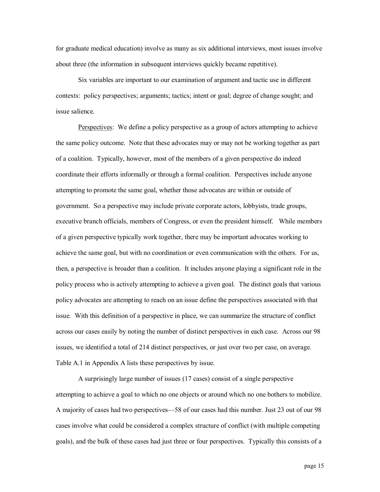for graduate medical education) involve as many as six additional interviews, most issues involve about three (the information in subsequent interviews quickly became repetitive).

Six variables are important to our examination of argument and tactic use in different contexts: policy perspectives; arguments; tactics; intent or goal; degree of change sought; and issue salience.

Perspectives: We define a policy perspective as a group of actors attempting to achieve the same policy outcome. Note that these advocates may or may not be working together as part of a coalition. Typically, however, most of the members of a given perspective do indeed coordinate their efforts informally or through a formal coalition. Perspectives include anyone attempting to promote the same goal, whether those advocates are within or outside of government. So a perspective may include private corporate actors, lobbyists, trade groups, executive branch officials, members of Congress, or even the president himself. While members of a given perspective typically work together, there may be important advocates working to achieve the same goal, but with no coordination or even communication with the others. For us, then, a perspective is broader than a coalition. It includes anyone playing a significant role in the policy process who is actively attempting to achieve a given goal. The distinct goals that various policy advocates are attempting to reach on an issue define the perspectives associated with that issue. With this definition of a perspective in place, we can summarize the structure of conflict across our cases easily by noting the number of distinct perspectives in each case. Across our 98 issues, we identified a total of 214 distinct perspectives, or just over two per case, on average. Table A.1 in Appendix A lists these perspectives by issue.

A surprisingly large number of issues (17 cases) consist of a single perspective attempting to achieve a goal to which no one objects or around which no one bothers to mobilize. A majority of cases had two perspectives—58 of our cases had this number. Just 23 out of our 98 cases involve what could be considered a complex structure of conflict (with multiple competing goals), and the bulk of these cases had just three or four perspectives. Typically this consists of a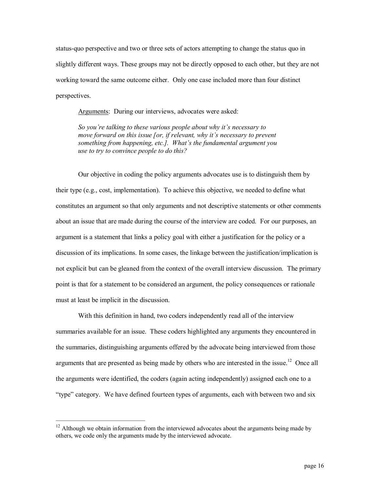status-quo perspective and two or three sets of actors attempting to change the status quo in slightly different ways. These groups may not be directly opposed to each other, but they are not working toward the same outcome either. Only one case included more than four distinct perspectives.

Arguments: During our interviews, advocates were asked:

*So you're talking to these various people about why it's necessary to move forward on this issue [or, if relevant, why it's necessary to prevent something from happening, etc.]. What's the fundamental argument you use to try to convince people to do this?*

Our objective in coding the policy arguments advocates use is to distinguish them by their type (e.g., cost, implementation). To achieve this objective, we needed to define what constitutes an argument so that only arguments and not descriptive statements or other comments about an issue that are made during the course of the interview are coded. For our purposes, an argument is a statement that links a policy goal with either a justification for the policy or a discussion of its implications. In some cases, the linkage between the justification/implication is not explicit but can be gleaned from the context of the overall interview discussion. The primary point is that for a statement to be considered an argument, the policy consequences or rationale must at least be implicit in the discussion.

With this definition in hand, two coders independently read all of the interview summaries available for an issue. These coders highlighted any arguments they encountered in the summaries, distinguishing arguments offered by the advocate being interviewed from those arguments that are presented as being made by others who are interested in the issue.<sup>12</sup> Once all the arguments were identified, the coders (again acting independently) assigned each one to a "type" category. We have defined fourteen types of arguments, each with between two and six

 $12$  Although we obtain information from the interviewed advocates about the arguments being made by others, we code only the arguments made by the interviewed advocate.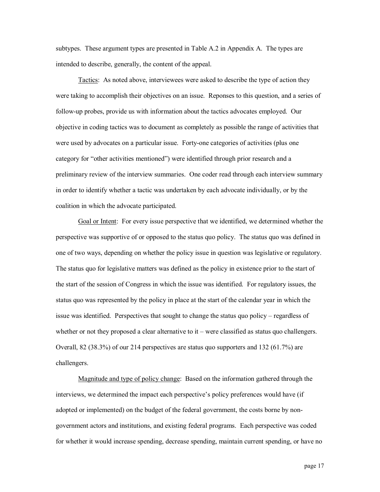subtypes. These argument types are presented in Table A.2 in Appendix A. The types are intended to describe, generally, the content of the appeal.

Tactics: As noted above, interviewees were asked to describe the type of action they were taking to accomplish their objectives on an issue. Reponses to this question, and a series of followup probes, provide us with information about the tactics advocates employed. Our objective in coding tactics was to document as completely as possible the range of activities that were used by advocates on a particular issue. Forty-one categories of activities (plus one category for "other activities mentioned") were identified through prior research and a preliminary review of the interview summaries. One coder read through each interview summary in order to identify whether a tactic was undertaken by each advocate individually, or by the coalition in which the advocate participated.

Goal or Intent: For every issue perspective that we identified, we determined whether the perspective was supportive of or opposed to the status quo policy. The status quo was defined in one of two ways, depending on whether the policy issue in question was legislative or regulatory. The status quo for legislative matters was defined as the policy in existence prior to the start of the start of the session of Congress in which the issue was identified. For regulatory issues, the status quo was represented by the policy in place at the start of the calendar year in which the issue was identified. Perspectives that sought to change the status quo policy – regardless of whether or not they proposed a clear alternative to it – were classified as status quo challengers. Overall, 82 (38.3%) of our 214 perspectives are status quo supporters and 132 (61.7%) are challengers.

Magnitude and type of policy change: Based on the information gathered through the interviews, we determined the impact each perspective's policy preferences would have (if adopted or implemented) on the budget of the federal government, the costs borne by nongovernment actors and institutions, and existing federal programs. Each perspective was coded for whether it would increase spending, decrease spending, maintain current spending, or have no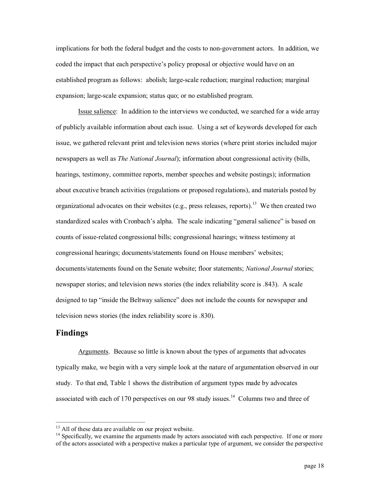implications for both the federal budget and the costs to nongovernment actors. In addition, we coded the impact that each perspective's policy proposal or objective would have on an established program as follows: abolish; large-scale reduction; marginal reduction; marginal expansion; large-scale expansion; status quo; or no established program.

Issue salience: In addition to the interviews we conducted, we searched for a wide array of publicly available information about each issue. Using a set of keywords developed for each issue, we gathered relevant print and television news stories (where print stories included major newspapers as well as *The National Journal*); information about congressional activity (bills, hearings, testimony, committee reports, member speeches and website postings); information about executive branch activities (regulations or proposed regulations), and materials posted by organizational advocates on their websites (e.g., press releases, reports).<sup>13</sup> We then created two standardized scales with Cronbach's alpha. The scale indicating "general salience" is based on counts of issue-related congressional bills; congressional hearings; witness testimony at congressional hearings; documents/statements found on House members' websites; documents/statements found on the Senate website; floor statements; *National Journal* stories; newspaper stories; and television news stories (the index reliability score is .843). A scale designed to tap "inside the Beltway salience" does not include the counts for newspaper and television news stories (the index reliability score is .830).

# **Findings**

Arguments. Because so little is known about the types of arguments that advocates typically make, we begin with a very simple look at the nature of argumentation observed in our study. To that end, Table 1 shows the distribution of argument types made by advocates associated with each of 170 perspectives on our 98 study issues.<sup>14</sup> Columns two and three of

<sup>&</sup>lt;sup>13</sup> All of these data are available on our project website.<br><sup>14</sup> Specifically, we examine the arguments made by actors associated with each perspective. If one or more of the actors associated with a perspective makes a particular type of argument, we consider the perspective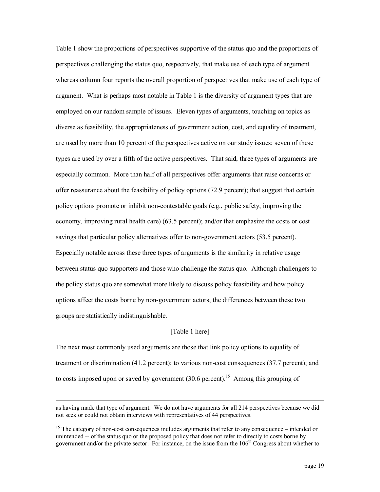Table 1 show the proportions of perspectives supportive of the status quo and the proportions of perspectives challenging the status quo, respectively, that make use of each type of argument whereas column four reports the overall proportion of perspectives that make use of each type of argument. What is perhaps most notable in Table 1 is the diversity of argument types that are employed on our random sample of issues. Eleven types of arguments, touching on topics as diverse as feasibility, the appropriateness of government action, cost, and equality of treatment, are used by more than 10 percent of the perspectives active on our study issues; seven of these types are used by over a fifth of the active perspectives. That said, three types of arguments are especially common. More than half of all perspectives offer arguments that raise concerns or offer reassurance about the feasibility of policy options (72.9 percent); that suggest that certain policy options promote or inhibit noncontestable goals (e.g., public safety, improving the economy, improving rural health care) (63.5 percent); and/or that emphasize the costs or cost savings that particular policy alternatives offer to non-government actors (53.5 percent). Especially notable across these three types of arguments is the similarity in relative usage between status quo supporters and those who challenge the status quo. Although challengers to the policy status quo are somewhat more likely to discuss policy feasibility and how policy options affect the costs borne by nongovernment actors, the differences between these two groups are statistically indistinguishable.

## [Table 1 here]

The next most commonly used arguments are those that link policy options to equality of treatment or discrimination (41.2 percent); to various noncost consequences (37.7 percent); and to costs imposed upon or saved by government  $(30.6 \text{ percent})$ .<sup>15</sup> Among this grouping of

as having made that type of argument. We do not have arguments for all 214 perspectives because we did not seek or could not obtain interviews with representatives of 44 perspectives.

 $15$  The category of non-cost consequences includes arguments that refer to any consequence – intended or unintended -- of the status quo or the proposed policy that does not refer to directly to costs borne by government and/or the private sector. For instance, on the issue from the  $106<sup>th</sup>$  Congress about whether to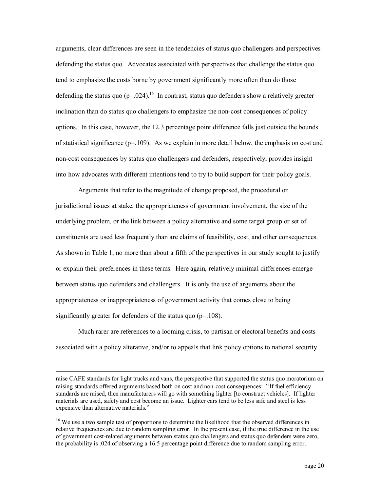arguments, clear differences are seen in the tendencies of status quo challengers and perspectives defending the status quo. Advocates associated with perspectives that challenge the status quo tend to emphasize the costs borne by government significantly more often than do those defending the status quo  $(p=.024)$ .<sup>16</sup> In contrast, status quo defenders show a relatively greater inclination than do status quo challengers to emphasize the non-cost consequences of policy options. In this case, however, the 12.3 percentage point difference falls just outside the bounds of statistical significance ( $p=109$ ). As we explain in more detail below, the emphasis on cost and non-cost consequences by status quo challengers and defenders, respectively, provides insight into how advocates with different intentions tend to try to build support for their policy goals.

Arguments that refer to the magnitude of change proposed, the procedural or jurisdictional issues at stake, the appropriateness of government involvement, the size of the underlying problem, or the link between a policy alternative and some target group or set of constituents are used less frequently than are claims of feasibility, cost, and other consequences. As shown in Table 1, no more than about a fifth of the perspectives in our study sought to justify or explain their preferences in these terms. Here again, relatively minimal differences emerge between status quo defenders and challengers. It is only the use of arguments about the appropriateness or inappropriateness of government activity that comes close to being significantly greater for defenders of the status quo  $(p=108)$ .

Much rarer are references to a looming crisis, to partisan or electoral benefits and costs associated with a policy alterative, and/or to appeals that link policy options to national security

raise CAFE standards for light trucks and vans, the perspective that supported the status quo moratorium on raising standards offered arguments based both on cost and non-cost consequences: "If fuel efficiency standards are raised, then manufacturers will go with something lighter [to construct vehicles]. If lighter materials are used, safety and cost become an issue. Lighter cars tend to be less safe and steel is less expensive than alternative materials."

<sup>&</sup>lt;sup>16</sup> We use a two sample test of proportions to determine the likelihood that the observed differences in relative frequencies are due to random sampling error. In the present case, if the true difference in the use of government costrelated arguments between status quo challengers and status quo defenders were zero, the probability is .024 of observing a 16.5 percentage point difference due to random sampling error.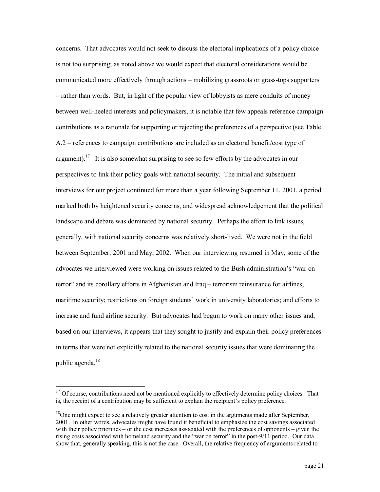concerns. That advocates would not seek to discuss the electoral implications of a policy choice is not too surprising; as noted above we would expect that electoral considerations would be communicated more effectively through actions – mobilizing grassroots or grass-tops supporters – rather than words. But, in light of the popular view of lobbyists as mere conduits of money between well-heeled interests and policymakers, it is notable that few appeals reference campaign contributions as a rationale for supporting or rejecting the preferences of a perspective (see Table A.2 – references to campaign contributions are included as an electoral benefit/cost type of argument).<sup>17</sup> It is also somewhat surprising to see so few efforts by the advocates in our perspectives to link their policy goals with national security. The initial and subsequent interviews for our project continued for more than a year following September 11, 2001, a period marked both by heightened security concerns, and widespread acknowledgement that the political landscape and debate was dominated by national security. Perhaps the effort to link issues, generally, with national security concerns was relatively short-lived. We were not in the field between September, 2001 and May, 2002. When our interviewing resumed in May, some of the advocates we interviewed were working on issues related to the Bush administration's "war on terror" and its corollary efforts in Afghanistan and Iraq – terrorism reinsurance for airlines; maritime security; restrictions on foreign students' work in university laboratories; and efforts to increase and fund airline security. But advocates had begun to work on many other issues and, based on our interviews, it appears that they sought to justify and explain their policy preferences in terms that were not explicitly related to the national security issues that were dominating the public agenda.<sup>18</sup>

 $17$  Of course, contributions need not be mentioned explicitly to effectively determine policy choices. That is, the receipt of a contribution may be sufficient to explain the recipient's policy preference.

<sup>&</sup>lt;sup>18</sup>One might expect to see a relatively greater attention to cost in the arguments made after September, 2001. In other words, advocates might have found it beneficial to emphasize the cost savings associated with their policy priorities – or the cost increases associated with the preferences of opponents – given the rising costs associated with homeland security and the "war on terror" in the post-9/11 period. Our data show that, generally speaking, this is not the case. Overall, the relative frequency of arguments related to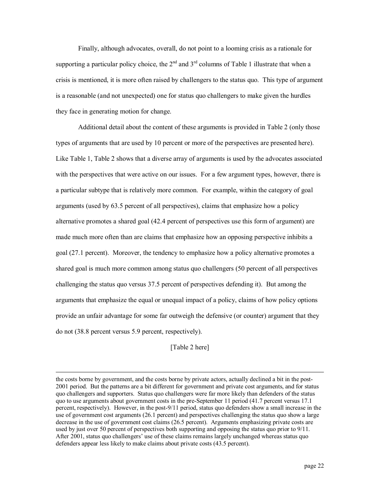Finally, although advocates, overall, do not point to a looming crisis as a rationale for supporting a particular policy choice, the  $2<sup>nd</sup>$  and  $3<sup>rd</sup>$  columns of Table 1 illustrate that when a crisis is mentioned, it is more often raised by challengers to the status quo. This type of argument is a reasonable (and not unexpected) one for status quo challengers to make given the hurdles they face in generating motion for change.

Additional detail about the content of these arguments is provided in Table 2 (only those types of arguments that are used by 10 percent or more of the perspectives are presented here). Like Table 1, Table 2 shows that a diverse array of arguments is used by the advocates associated with the perspectives that were active on our issues. For a few argument types, however, there is a particular subtype that is relatively more common. For example, within the category of goal arguments (used by 63.5 percent of all perspectives), claims that emphasize how a policy alternative promotes a shared goal (42.4 percent of perspectives use this form of argument) are made much more often than are claims that emphasize how an opposing perspective inhibits a goal (27.1 percent). Moreover, the tendency to emphasize how a policy alternative promotes a shared goal is much more common among status quo challengers (50 percent of all perspectives challenging the status quo versus 37.5 percent of perspectives defending it). But among the arguments that emphasize the equal or unequal impact of a policy, claims of how policy options provide an unfair advantage for some far outweigh the defensive (or counter) argument that they do not (38.8 percent versus 5.9 percent, respectively).

[Table 2 here]

the costs borne by government, and the costs borne by private actors, actually declined a bit in the post 2001 period. But the patterns are a bit different for government and private cost arguments, and for status quo challengers and supporters. Status quo challengers were far more likely than defenders of the status quo to use arguments about government costs in the preSeptember 11 period (41.7 percent versus 17.1 percent, respectively). However, in the post9/11 period, status quo defenders show a small increase in the use of government cost arguments (26.1 percent) and perspectives challenging the status quo show a large decrease in the use of government cost claims (26.5 percent). Arguments emphasizing private costs are used by just over 50 percent of perspectives both supporting and opposing the status quo prior to 9/11. After 2001, status quo challengers' use of these claims remains largely unchanged whereas status quo defenders appear less likely to make claims about private costs (43.5 percent).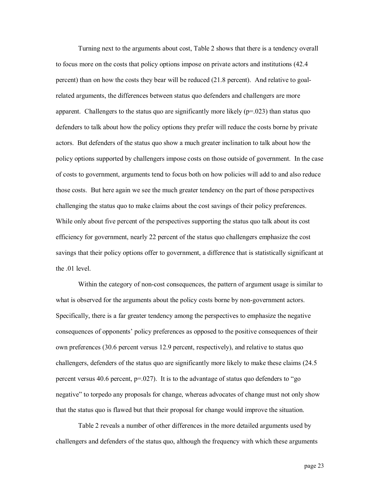Turning next to the arguments about cost, Table 2 shows that there is a tendency overall to focus more on the costs that policy options impose on private actors and institutions (42.4 percent) than on how the costs they bear will be reduced (21.8 percent). And relative to goalrelated arguments, the differences between status quo defenders and challengers are more apparent. Challengers to the status quo are significantly more likely ( $p=0.023$ ) than status quo defenders to talk about how the policy options they prefer will reduce the costs borne by private actors. But defenders of the status quo show a much greater inclination to talk about how the policy options supported by challengers impose costs on those outside of government. In the case of costs to government, arguments tend to focus both on how policies will add to and also reduce those costs. But here again we see the much greater tendency on the part of those perspectives challenging the status quo to make claims about the cost savings of their policy preferences. While only about five percent of the perspectives supporting the status quo talk about its cost efficiency for government, nearly 22 percent of the status quo challengers emphasize the cost savings that their policy options offer to government, a difference that is statistically significant at the .01 level.

Within the category of non-cost consequences, the pattern of argument usage is similar to what is observed for the arguments about the policy costs borne by non-government actors. Specifically, there is a far greater tendency among the perspectives to emphasize the negative consequences of opponents' policy preferences as opposed to the positive consequences of their own preferences (30.6 percent versus 12.9 percent, respectively), and relative to status quo challengers, defenders of the status quo are significantly more likely to make these claims (24.5 percent versus 40.6 percent,  $p=0.027$ . It is to the advantage of status quo defenders to "go" negative" to torpedo any proposals for change, whereas advocates of change must not only show that the status quo is flawed but that their proposal for change would improve the situation.

Table 2 reveals a number of other differences in the more detailed arguments used by challengers and defenders of the status quo, although the frequency with which these arguments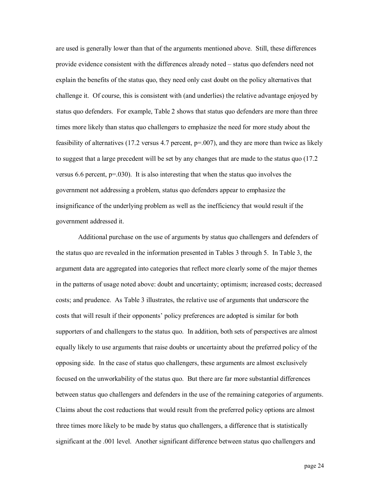are used is generally lower than that of the arguments mentioned above. Still, these differences provide evidence consistent with the differences already noted – status quo defenders need not explain the benefits of the status quo, they need only cast doubt on the policy alternatives that challenge it. Of course, this is consistent with (and underlies) the relative advantage enjoyed by status quo defenders. For example, Table 2 shows that status quo defenders are more than three times more likely than status quo challengers to emphasize the need for more study about the feasibility of alternatives (17.2 versus 4.7 percent, p=.007), and they are more than twice as likely to suggest that a large precedent will be set by any changes that are made to the status quo (17.2 versus 6.6 percent,  $p=030$ ). It is also interesting that when the status quo involves the government not addressing a problem, status quo defenders appear to emphasize the insignificance of the underlying problem as well as the inefficiency that would result if the government addressed it.

Additional purchase on the use of arguments by status quo challengers and defenders of the status quo are revealed in the information presented in Tables 3 through 5. In Table 3, the argument data are aggregated into categories that reflect more clearly some of the major themes in the patterns of usage noted above: doubt and uncertainty; optimism; increased costs; decreased costs; and prudence. As Table 3 illustrates, the relative use of arguments that underscore the costs that will result if their opponents' policy preferences are adopted is similar for both supporters of and challengers to the status quo. In addition, both sets of perspectives are almost equally likely to use arguments that raise doubts or uncertainty about the preferred policy of the opposing side. In the case of status quo challengers, these arguments are almost exclusively focused on the unworkability of the status quo. But there are far more substantial differences between status quo challengers and defenders in the use of the remaining categories of arguments. Claims about the cost reductions that would result from the preferred policy options are almost three times more likely to be made by status quo challengers, a difference that is statistically significant at the .001 level. Another significant difference between status quo challengers and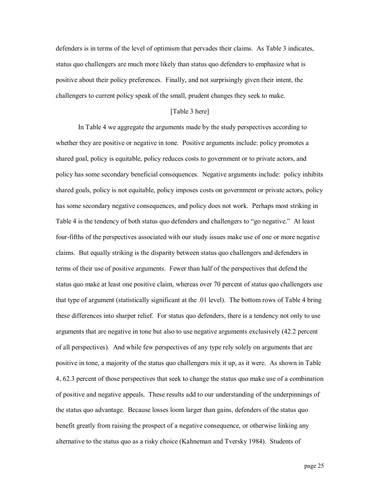defenders is in terms of the level of optimism that pervades their claims. As Table 3 indicates, status quo challengers are much more likely than status quo defenders to emphasize what is positive about their policy preferences. Finally, and not surprisingly given their intent, the challengers to current policy speak of the small, prudent changes they seek to make.

## [Table 3 here]

In Table 4 we aggregate the arguments made by the study perspectives according to whether they are positive or negative in tone. Positive arguments include: policy promotes a shared goal, policy is equitable, policy reduces costs to government or to private actors, and policy has some secondary beneficial consequences. Negative arguments include: policy inhibits shared goals, policy is not equitable, policy imposes costs on government or private actors, policy has some secondary negative consequences, and policy does not work. Perhaps most striking in Table 4 is the tendency of both status quo defenders and challengers to "go negative." At least four-fifths of the perspectives associated with our study issues make use of one or more negative claims. But equally striking is the disparity between status quo challengers and defenders in terms of their use of positive arguments. Fewer than half of the perspectives that defend the status quo make at least one positive claim, whereas over 70 percent of status quo challengers use that type of argument (statistically significant at the .01 level). The bottom rows of Table 4 bring these differences into sharper relief. For status quo defenders, there is a tendency not only to use arguments that are negative in tone but also to use negative arguments exclusively (42.2 percent of all perspectives). And while few perspectives of any type rely solely on arguments that are positive in tone, a majority of the status quo challengers mix it up, as it were. As shown in Table 4, 62.3 percent of those perspectives that seek to change the status quo make use of a combination of positive and negative appeals. These results add to our understanding of the underpinnings of the status quo advantage. Because losses loom larger than gains, defenders of the status quo benefit greatly from raising the prospect of a negative consequence, or otherwise linking any alternative to the status quo as a risky choice (Kahneman and Tversky 1984). Students of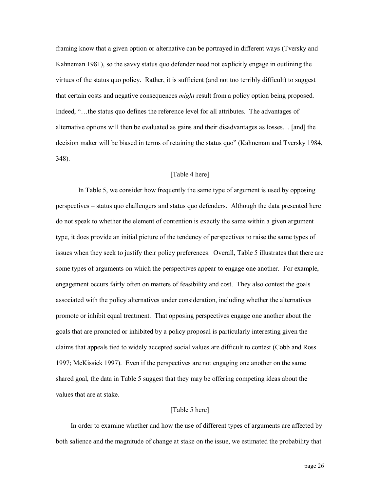framing know that a given option or alternative can be portrayed in different ways (Tversky and Kahneman 1981), so the savvy status quo defender need not explicitly engage in outlining the virtues of the status quo policy. Rather, it is sufficient (and not too terribly difficult) to suggest that certain costs and negative consequences *might* result from a policy option being proposed. Indeed, "…the status quo defines the reference level for all attributes. The advantages of alternative options will then be evaluated as gains and their disadvantages as losses… [and] the decision maker will be biased in terms of retaining the status quo" (Kahneman and Tversky 1984, 348).

# [Table 4 here]

In Table 5, we consider how frequently the same type of argument is used by opposing perspectives – status quo challengers and status quo defenders. Although the data presented here do not speak to whether the element of contention is exactly the same within a given argument type, it does provide an initial picture of the tendency of perspectives to raise the same types of issues when they seek to justify their policy preferences. Overall, Table 5 illustrates that there are some types of arguments on which the perspectives appear to engage one another. For example, engagement occurs fairly often on matters of feasibility and cost. They also contest the goals associated with the policy alternatives under consideration, including whether the alternatives promote or inhibit equal treatment. That opposing perspectives engage one another about the goals that are promoted or inhibited by a policy proposal is particularly interesting given the claims that appeals tied to widely accepted social values are difficult to contest (Cobb and Ross 1997; McKissick 1997). Even if the perspectives are not engaging one another on the same shared goal, the data in Table 5 suggest that they may be offering competing ideas about the values that are at stake.

# [Table 5 here]

In order to examine whether and how the use of different types of arguments are affected by both salience and the magnitude of change at stake on the issue, we estimated the probability that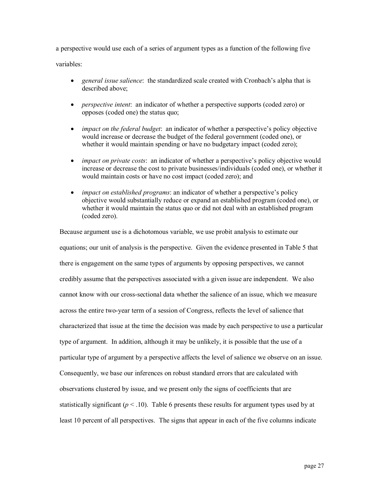a perspective would use each of a series of argument types as a function of the following five variables:

- · *general issue salience*: the standardized scale created with Cronbach's alpha that is described above;
- · *perspective intent*: an indicator of whether a perspective supports (coded zero) or opposes (coded one) the status quo;
- · *impact on the federal budget*: an indicator of whether a perspective's policy objective would increase or decrease the budget of the federal government (coded one), or whether it would maintain spending or have no budgetary impact (coded zero);
- *impact on private costs*: an indicator of whether a perspective's policy objective would increase or decrease the cost to private businesses/individuals (coded one), or whether it would maintain costs or have no cost impact (coded zero); and
- · *impact on established programs*: an indicator of whether a perspective's policy objective would substantially reduce or expand an established program (coded one), or whether it would maintain the status quo or did not deal with an established program (coded zero).

Because argument use is a dichotomous variable, we use probit analysis to estimate our equations; our unit of analysis is the perspective. Given the evidence presented in Table 5 that there is engagement on the same types of arguments by opposing perspectives, we cannot credibly assume that the perspectives associated with a given issue are independent. We also cannot know with our crosssectional data whether the salience of an issue, which we measure across the entire two-year term of a session of Congress, reflects the level of salience that characterized that issue at the time the decision was made by each perspective to use a particular type of argument. In addition, although it may be unlikely, it is possible that the use of a particular type of argument by a perspective affects the level of salience we observe on an issue. Consequently, we base our inferences on robust standard errors that are calculated with observations clustered by issue, and we present only the signs of coefficients that are statistically significant ( $p < 0.10$ ). Table 6 presents these results for argument types used by at least 10 percent of all perspectives. The signs that appear in each of the five columns indicate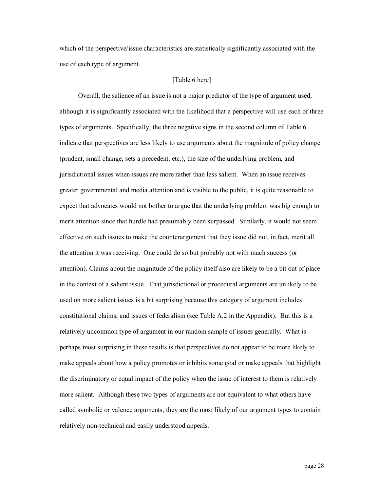which of the perspective/issue characteristics are statistically significantly associated with the use of each type of argument.

## [Table 6 here]

Overall, the salience of an issue is not a major predictor of the type of argument used, although it is significantly associated with the likelihood that a perspective will use each of three types of arguments. Specifically, the three negative signs in the second column of Table 6 indicate that perspectives are less likely to use arguments about the magnitude of policy change (prudent, small change, sets a precedent, etc.), the size of the underlying problem, and jurisdictional issues when issues are more rather than less salient. When an issue receives greater governmental and media attention and is visible to the public, it is quite reasonable to expect that advocates would not bother to argue that the underlying problem was big enough to merit attention since that hurdle had presumably been surpassed. Similarly, it would not seem effective on such issues to make the counterargument that they issue did not, in fact, merit all the attention it was receiving. One could do so but probably not with much success (or attention). Claims about the magnitude of the policy itself also are likely to be a bit out of place in the context of a salient issue. That jurisdictional or procedural arguments are unlikely to be used on more salient issues is a bit surprising because this category of argument includes constitutional claims, and issues of federalism (see Table A.2 in the Appendix). But this is a relatively uncommon type of argument in our random sample of issues generally. What is perhaps most surprising in these results is that perspectives do not appear to be more likely to make appeals about how a policy promotes or inhibits some goal or make appeals that highlight the discriminatory or equal impact of the policy when the issue of interest to them is relatively more salient. Although these two types of arguments are not equivalent to what others have called symbolic or valence arguments, they are the most likely of our argument types to contain relatively non-technical and easily understood appeals.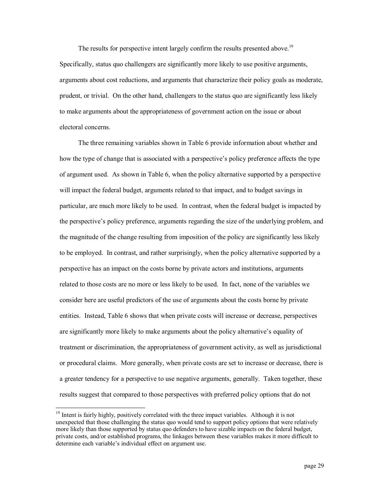The results for perspective intent largely confirm the results presented above.<sup>19</sup> Specifically, status quo challengers are significantly more likely to use positive arguments, arguments about cost reductions, and arguments that characterize their policy goals as moderate, prudent, or trivial. On the other hand, challengers to the status quo are significantly less likely to make arguments about the appropriateness of government action on the issue or about electoral concerns.

The three remaining variables shown in Table 6 provide information about whether and how the type of change that is associated with a perspective's policy preference affects the type of argument used. As shown in Table 6, when the policy alternative supported by a perspective will impact the federal budget, arguments related to that impact, and to budget savings in particular, are much more likely to be used. In contrast, when the federal budget is impacted by the perspective's policy preference, arguments regarding the size of the underlying problem, and the magnitude of the change resulting from imposition of the policy are significantly less likely to be employed. In contrast, and rather surprisingly, when the policy alternative supported by a perspective has an impact on the costs borne by private actors and institutions, arguments related to those costs are no more or less likely to be used. In fact, none of the variables we consider here are useful predictors of the use of arguments about the costs borne by private entities. Instead, Table 6 shows that when private costs will increase or decrease, perspectives are significantly more likely to make arguments about the policy alternative's equality of treatment or discrimination, the appropriateness of government activity, as well as jurisdictional or procedural claims. More generally, when private costs are set to increase or decrease, there is a greater tendency for a perspective to use negative arguments, generally. Taken together, these results suggest that compared to those perspectives with preferred policy options that do not

<sup>&</sup>lt;sup>19</sup> Intent is fairly highly, positively correlated with the three impact variables. Although it is not unexpected that those challenging the status quo would tend to support policy options that were relatively more likely than those supported by status quo defenders to have sizable impacts on the federal budget, private costs, and/or established programs, the linkages between these variables makes it more difficult to determine each variable's individual effect on argument use.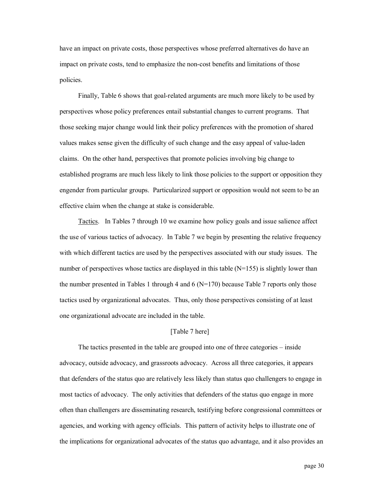have an impact on private costs, those perspectives whose preferred alternatives do have an impact on private costs, tend to emphasize the non-cost benefits and limitations of those policies.

Finally, Table 6 shows that goal-related arguments are much more likely to be used by perspectives whose policy preferences entail substantial changes to current programs. That those seeking major change would link their policy preferences with the promotion of shared values makes sense given the difficulty of such change and the easy appeal of valueladen claims. On the other hand, perspectives that promote policies involving big change to established programs are much less likely to link those policies to the support or opposition they engender from particular groups. Particularized support or opposition would not seem to be an effective claim when the change at stake is considerable.

Tactics. In Tables 7 through 10 we examine how policy goals and issue salience affect the use of various tactics of advocacy. In Table 7 we begin by presenting the relative frequency with which different tactics are used by the perspectives associated with our study issues. The number of perspectives whose tactics are displayed in this table  $(N=155)$  is slightly lower than the number presented in Tables 1 through 4 and 6 ( $N=170$ ) because Table 7 reports only those tactics used by organizational advocates. Thus, only those perspectives consisting of at least one organizational advocate are included in the table.

## [Table 7 here]

The tactics presented in the table are grouped into one of three categories – inside advocacy, outside advocacy, and grassroots advocacy. Across all three categories, it appears that defenders of the status quo are relatively less likely than status quo challengers to engage in most tactics of advocacy. The only activities that defenders of the status quo engage in more often than challengers are disseminating research, testifying before congressional committees or agencies, and working with agency officials. This pattern of activity helps to illustrate one of the implications for organizational advocates of the status quo advantage, and it also provides an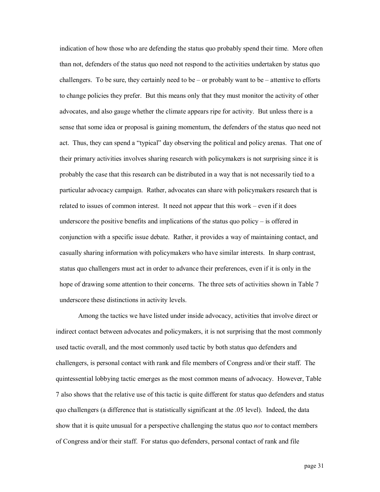indication of how those who are defending the status quo probably spend their time. More often than not, defenders of the status quo need not respond to the activities undertaken by status quo challengers. To be sure, they certainly need to be – or probably want to be – attentive to efforts to change policies they prefer. But this means only that they must monitor the activity of other advocates, and also gauge whether the climate appears ripe for activity. But unless there is a sense that some idea or proposal is gaining momentum, the defenders of the status quo need not act. Thus, they can spend a "typical" day observing the political and policy arenas. That one of their primary activities involves sharing research with policymakers is not surprising since it is probably the case that this research can be distributed in a way that is not necessarily tied to a particular advocacy campaign. Rather, advocates can share with policymakers research that is related to issues of common interest. It need not appear that this work – even if it does underscore the positive benefits and implications of the status quo policy – is offered in conjunction with a specific issue debate. Rather, it provides a way of maintaining contact, and casually sharing information with policymakers who have similar interests. In sharp contrast, status quo challengers must act in order to advance their preferences, even if it is only in the hope of drawing some attention to their concerns. The three sets of activities shown in Table 7 underscore these distinctions in activity levels.

Among the tactics we have listed under inside advocacy, activities that involve direct or indirect contact between advocates and policymakers, it is not surprising that the most commonly used tactic overall, and the most commonly used tactic by both status quo defenders and challengers, is personal contact with rank and file members of Congress and/or their staff. The quintessential lobbying tactic emerges as the most common means of advocacy. However, Table 7 also shows that the relative use of this tactic is quite different for status quo defenders and status quo challengers (a difference that is statistically significant at the .05 level). Indeed, the data show that it is quite unusual for a perspective challenging the status quo *not* to contact members of Congress and/or their staff. For status quo defenders, personal contact of rank and file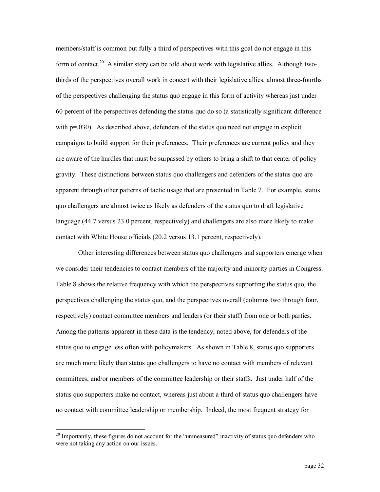members/staff is common but fully a third of perspectives with this goal do not engage in this form of contact.<sup>20</sup> A similar story can be told about work with legislative allies. Although twothirds of the perspectives overall work in concert with their legislative allies, almost threefourths of the perspectives challenging the status quo engage in this form of activity whereas just under 60 percent of the perspectives defending the status quo do so (a statistically significant difference with  $p=030$ . As described above, defenders of the status quo need not engage in explicit campaigns to build support for their preferences. Their preferences are current policy and they are aware of the hurdles that must be surpassed by others to bring a shift to that center of policy gravity. These distinctions between status quo challengers and defenders of the status quo are apparent through other patterns of tactic usage that are presented in Table 7. For example, status quo challengers are almost twice as likely as defenders of the status quo to draft legislative language (44.7 versus 23.0 percent, respectively) and challengers are also more likely to make contact with White House officials (20.2 versus 13.1 percent, respectively).

Other interesting differences between status quo challengers and supporters emerge when we consider their tendencies to contact members of the majority and minority parties in Congress. Table 8 shows the relative frequency with which the perspectives supporting the status quo, the perspectives challenging the status quo, and the perspectives overall (columns two through four, respectively) contact committee members and leaders (or their staff) from one or both parties. Among the patterns apparent in these data is the tendency, noted above, for defenders of the status quo to engage less often with policymakers. As shown in Table 8, status quo supporters are much more likely than status quo challengers to have no contact with members of relevant committees, and/or members of the committee leadership or their staffs. Just under half of the status quo supporters make no contact, whereas just about a third of status quo challengers have no contact with committee leadership or membership. Indeed, the most frequent strategy for

<sup>&</sup>lt;sup>20</sup> Importantly, these figures do not account for the "unmeasured" inactivity of status quo defenders who were not taking any action on our issues.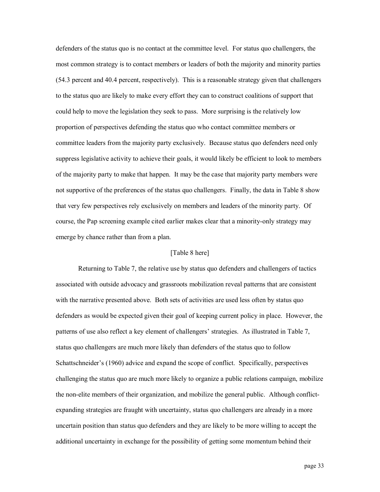defenders of the status quo is no contact at the committee level. For status quo challengers, the most common strategy is to contact members or leaders of both the majority and minority parties (54.3 percent and 40.4 percent, respectively). This is a reasonable strategy given that challengers to the status quo are likely to make every effort they can to construct coalitions of support that could help to move the legislation they seek to pass. More surprising is the relatively low proportion of perspectives defending the status quo who contact committee members or committee leaders from the majority party exclusively. Because status quo defenders need only suppress legislative activity to achieve their goals, it would likely be efficient to look to members of the majority party to make that happen. It may be the case that majority party members were not supportive of the preferences of the status quo challengers. Finally, the data in Table 8 show that very few perspectives rely exclusively on members and leaders of the minority party. Of course, the Pap screening example cited earlier makes clear that a minority-only strategy may emerge by chance rather than from a plan.

# [Table 8 here]

Returning to Table 7, the relative use by status quo defenders and challengers of tactics associated with outside advocacy and grassroots mobilization reveal patterns that are consistent with the narrative presented above. Both sets of activities are used less often by status quo defenders as would be expected given their goal of keeping current policy in place. However, the patterns of use also reflect a key element of challengers' strategies. As illustrated in Table 7, status quo challengers are much more likely than defenders of the status quo to follow Schattschneider's (1960) advice and expand the scope of conflict. Specifically, perspectives challenging the status quo are much more likely to organize a public relations campaign, mobilize the non-elite members of their organization, and mobilize the general public. Although conflictexpanding strategies are fraught with uncertainty, status quo challengers are already in a more uncertain position than status quo defenders and they are likely to be more willing to accept the additional uncertainty in exchange for the possibility of getting some momentum behind their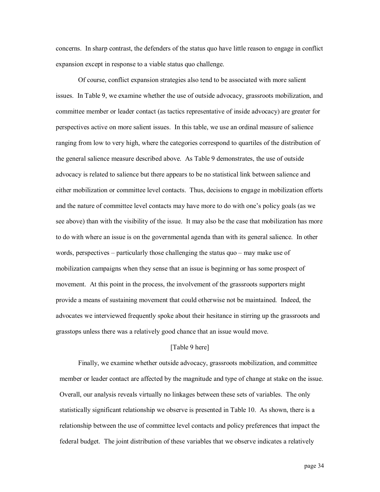concerns. In sharp contrast, the defenders of the status quo have little reason to engage in conflict expansion except in response to a viable status quo challenge.

Of course, conflict expansion strategies also tend to be associated with more salient issues. In Table 9, we examine whether the use of outside advocacy, grassroots mobilization, and committee member or leader contact (as tactics representative of inside advocacy) are greater for perspectives active on more salient issues. In this table, we use an ordinal measure of salience ranging from low to very high, where the categories correspond to quartiles of the distribution of the general salience measure described above. As Table 9 demonstrates, the use of outside advocacy is related to salience but there appears to be no statistical link between salience and either mobilization or committee level contacts. Thus, decisions to engage in mobilization efforts and the nature of committee level contacts may have more to do with one's policy goals (as we see above) than with the visibility of the issue. It may also be the case that mobilization has more to do with where an issue is on the governmental agenda than with its general salience. In other words, perspectives – particularly those challenging the status quo – may make use of mobilization campaigns when they sense that an issue is beginning or has some prospect of movement. At this point in the process, the involvement of the grassroots supporters might provide a means of sustaining movement that could otherwise not be maintained. Indeed, the advocates we interviewed frequently spoke about their hesitance in stirring up the grassroots and grasstops unless there was a relatively good chance that an issue would move.

## [Table 9 here]

Finally, we examine whether outside advocacy, grassroots mobilization, and committee member or leader contact are affected by the magnitude and type of change at stake on the issue. Overall, our analysis reveals virtually no linkages between these sets of variables. The only statistically significant relationship we observe is presented in Table 10. As shown, there is a relationship between the use of committee level contacts and policy preferences that impact the federal budget. The joint distribution of these variables that we observe indicates a relatively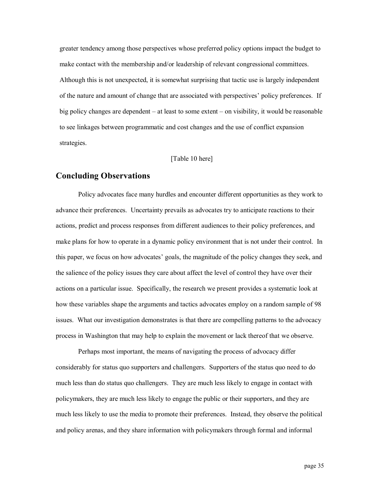greater tendency among those perspectives whose preferred policy options impact the budget to make contact with the membership and/or leadership of relevant congressional committees. Although this is not unexpected, it is somewhat surprising that tactic use is largely independent of the nature and amount of change that are associated with perspectives' policy preferences. If big policy changes are dependent – at least to some extent – on visibility, it would be reasonable to see linkages between programmatic and cost changes and the use of conflict expansion strategies.

## [Table 10 here]

# **Concluding Observations**

Policy advocates face many hurdles and encounter different opportunities as they work to advance their preferences. Uncertainty prevails as advocates try to anticipate reactions to their actions, predict and process responses from different audiences to their policy preferences, and make plans for how to operate in a dynamic policy environment that is not under their control. In this paper, we focus on how advocates' goals, the magnitude of the policy changes they seek, and the salience of the policy issues they care about affect the level of control they have over their actions on a particular issue. Specifically, the research we present provides a systematic look at how these variables shape the arguments and tactics advocates employ on a random sample of 98 issues. What our investigation demonstrates is that there are compelling patterns to the advocacy process in Washington that may help to explain the movement or lack thereof that we observe.

Perhaps most important, the means of navigating the process of advocacy differ considerably for status quo supporters and challengers. Supporters of the status quo need to do much less than do status quo challengers. They are much less likely to engage in contact with policymakers, they are much less likely to engage the public or their supporters, and they are much less likely to use the media to promote their preferences. Instead, they observe the political and policy arenas, and they share information with policymakers through formal and informal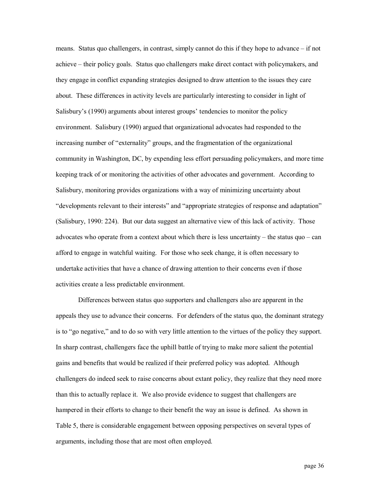means. Status quo challengers, in contrast, simply cannot do this if they hope to advance – if not achieve – their policy goals. Status quo challengers make direct contact with policymakers, and they engage in conflict expanding strategies designed to draw attention to the issues they care about. These differences in activity levels are particularly interesting to consider in light of Salisbury's (1990) arguments about interest groups' tendencies to monitor the policy environment. Salisbury (1990) argued that organizational advocates had responded to the increasing number of "externality" groups, and the fragmentation of the organizational community in Washington, DC, by expending less effort persuading policymakers, and more time keeping track of or monitoring the activities of other advocates and government. According to Salisbury, monitoring provides organizations with a way of minimizing uncertainty about "developments relevant to their interests" and "appropriate strategies of response and adaptation" (Salisbury, 1990: 224). But our data suggest an alternative view of this lack of activity. Those advocates who operate from a context about which there is less uncertainty – the status quo – can afford to engage in watchful waiting. For those who seek change, it is often necessary to undertake activities that have a chance of drawing attention to their concerns even if those activities create a less predictable environment.

Differences between status quo supporters and challengers also are apparent in the appeals they use to advance their concerns. For defenders of the status quo, the dominant strategy is to "go negative," and to do so with very little attention to the virtues of the policy they support. In sharp contrast, challengers face the uphill battle of trying to make more salient the potential gains and benefits that would be realized if their preferred policy was adopted. Although challengers do indeed seek to raise concerns about extant policy, they realize that they need more than this to actually replace it. We also provide evidence to suggest that challengers are hampered in their efforts to change to their benefit the way an issue is defined. As shown in Table 5, there is considerable engagement between opposing perspectives on several types of arguments, including those that are most often employed.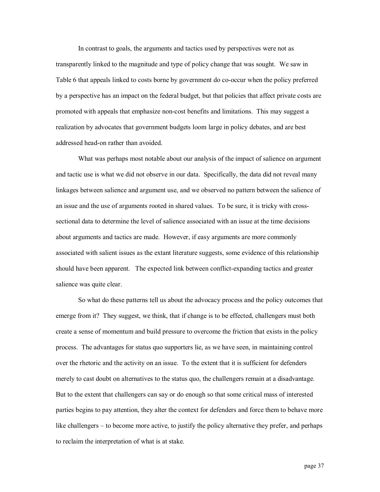In contrast to goals, the arguments and tactics used by perspectives were not as transparently linked to the magnitude and type of policy change that was sought. We saw in Table 6 that appeals linked to costs borne by government do co-occur when the policy preferred by a perspective has an impact on the federal budget, but that policies that affect private costs are promoted with appeals that emphasize non-cost benefits and limitations. This may suggest a realization by advocates that government budgets loom large in policy debates, and are best addressed head-on rather than avoided.

What was perhaps most notable about our analysis of the impact of salience on argument and tactic use is what we did not observe in our data. Specifically, the data did not reveal many linkages between salience and argument use, and we observed no pattern between the salience of an issue and the use of arguments rooted in shared values. To be sure, it is tricky with cross sectional data to determine the level of salience associated with an issue at the time decisions about arguments and tactics are made. However, if easy arguments are more commonly associated with salient issues as the extant literature suggests, some evidence of this relationship should have been apparent. The expected link between conflict-expanding tactics and greater salience was quite clear.

So what do these patterns tell us about the advocacy process and the policy outcomes that emerge from it? They suggest, we think, that if change is to be effected, challengers must both create a sense of momentum and build pressure to overcome the friction that exists in the policy process. The advantages for status quo supporters lie, as we have seen, in maintaining control over the rhetoric and the activity on an issue. To the extent that it is sufficient for defenders merely to cast doubt on alternatives to the status quo, the challengers remain at a disadvantage. But to the extent that challengers can say or do enough so that some critical mass of interested parties begins to pay attention, they alter the context for defenders and force them to behave more like challengers – to become more active, to justify the policy alternative they prefer, and perhaps to reclaim the interpretation of what is at stake.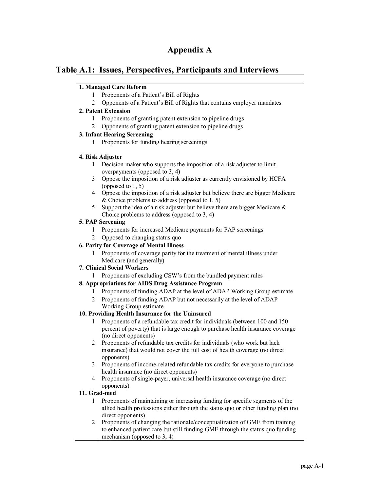# **Appendix A**

# **Table A.1: Issues, Perspectives, Participants and Interviews**

# **1. Managed Care Reform**

- 1 Proponents of a Patient's Bill of Rights
- 2 Opponents of a Patient's Bill of Rights that contains employer mandates

# **2. Patent Extension**

- 1 Proponents of granting patent extension to pipeline drugs
- 2 Opponents of granting patent extension to pipeline drugs

# **3. Infant Hearing Screening**

1 Proponents for funding hearing screenings

# **4. Risk Adjuster**

- 1 Decision maker who supports the imposition of a risk adjuster to limit overpayments (opposed to 3, 4)
- 3 Oppose the imposition of a risk adjuster as currently envisioned by HCFA (opposed to 1, 5)
- 4 Oppose the imposition of a risk adjuster but believe there are bigger Medicare & Choice problems to address (opposed to  $1, 5$ )
- 5 Support the idea of a risk adjuster but believe there are bigger Medicare  $\&$ Choice problems to address (opposed to 3, 4)

# **5. PAP Screening**

- 1 Proponents for increased Medicare payments for PAP screenings
- 2 Opposed to changing status quo

# **6. Parity for Coverage of Mental Illness**

1 Proponents of coverage parity for the treatment of mental illness under Medicare (and generally)

# **7. Clinical Social Workers**

1 Proponents of excluding CSW's from the bundled payment rules

# **8. Appropriations for AIDS Drug Assistance Program**

- 1 Proponents of funding ADAP at the level of ADAP Working Group estimate
- 2 Proponents of funding ADAP but not necessarily at the level of ADAP Working Group estimate

# **10. Providing Health Insurance for the Uninsured**

- 1 Proponents of a refundable tax credit for individuals (between 100 and 150 percent of poverty) that is large enough to purchase health insurance coverage (no direct opponents)
- 2 Proponents of refundable tax credits for individuals (who work but lack insurance) that would not cover the full cost of health coverage (no direct opponents)
- 3 Proponents of income-related refundable tax credits for everyone to purchase health insurance (no direct opponents)
- 4 Proponents of single-payer, universal health insurance coverage (no direct opponents)

# **11. Grad-med**

- 1 Proponents of maintaining or increasing funding for specific segments of the allied health professions either through the status quo or other funding plan (no direct opponents)
- 2 Proponents of changing the rationale/conceptualization of GME from training to enhanced patient care but still funding GME through the status quo funding mechanism (opposed to 3, 4)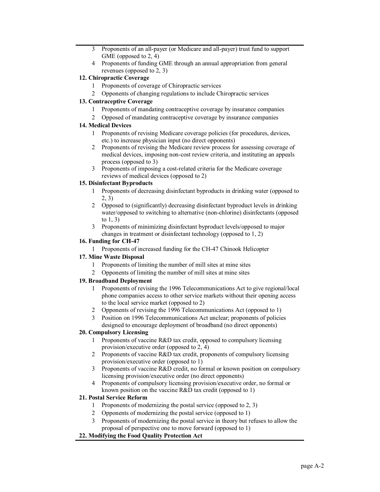- 3 Proponents of an all-payer (or Medicare and all-payer) trust fund to support GME (opposed to 2, 4)
- 4 Proponents of funding GME through an annual appropriation from general revenues (opposed to 2, 3)

### **12. Chiropractic Coverage**

- 1 Proponents of coverage of Chiropractic services
- 2 Opponents of changing regulations to include Chiropractic services

### **13. Contraceptive Coverage**

- 1 Proponents of mandating contraceptive coverage by insurance companies
- 2 Opposed of mandating contraceptive coverage by insurance companies

# **14. Medical Devices**

- 1 Proponents of revising Medicare coverage policies (for procedures, devices, etc.) to increase physician input (no direct opponents)
- 2 Proponents of revising the Medicare review process for assessing coverage of medical devices, imposing non-cost review criteria, and instituting an appeals process (opposed to 3)
- 3 Proponents of imposing a cost-related criteria for the Medicare coverage reviews of medical devices (opposed to 2)

#### **15. Disinfectant Byproducts**

- 1 Proponents of decreasing disinfectant byproducts in drinking water (opposed to 2, 3)
- 2 Opposed to (significantly) decreasing disinfectant byproduct levels in drinking water/opposed to switching to alternative (non-chlorine) disinfectants (opposed to 1, 3)
- 3 Proponents of minimizing disinfectant byproduct levels/opposed to major changes in treatment or disinfectant technology (opposed to 1, 2)

#### **16.** Funding for CH-47

1 Proponents of increased funding for the CH-47 Chinook Helicopter

### **17. Mine Waste Disposal**

- 1 Proponents of limiting the number of mill sites at mine sites
- 2 Opponents of limiting the number of mill sites at mine sites

### **19. Broadband Deployment**

- 1 Proponents of revising the 1996 Telecommunications Act to give regional/local phone companies access to other service markets without their opening access to the local service market (opposed to 2)
- 2 Opponents of revising the 1996 Telecommunications Act (opposed to 1)
- 3 Position on 1996 Telecommunications Act unclear; proponents of policies designed to encourage deployment of broadband (no direct opponents)

### **20. Compulsory Licensing**

- 1 Proponents of vaccine R&D tax credit, opposed to compulsory licensing provision/executive order (opposed to 2, 4)
- 2 Proponents of vaccine R&D tax credit, proponents of compulsory licensing provision/executive order (opposed to 1)
- 3 Proponents of vaccine R&D credit, no formal or known position on compulsory licensing provision/executive order (no direct opponents)
- 4 Proponents of compulsory licensing provision/executive order, no formal or known position on the vaccine R&D tax credit (opposed to 1)

### **21. Postal Service Reform**

- 1 Proponents of modernizing the postal service (opposed to 2, 3)
- 2 Opponents of modernizing the postal service (opposed to 1)
- 3 Proponents of modernizing the postal service in theory but refuses to allow the proposal of perspective one to move forward (opposed to 1)

### **22. Modifying the Food Quality Protection Act**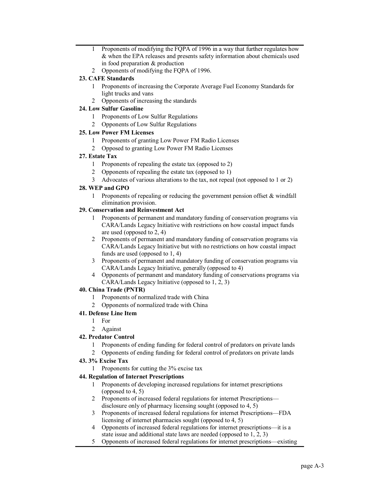- 1 Proponents of modifying the FQPA of 1996 in a way that further regulates how & when the EPA releases and presents safety information about chemicals used in food preparation & production
- 2 Opponents of modifying the FQPA of 1996.

## **23. CAFE Standards**

- 1 Proponents of increasing the Corporate Average Fuel Economy Standards for light trucks and vans
- 2 Opponents of increasing the standards

### **24. Low Sulfur Gasoline**

- 1 Proponents of Low Sulfur Regulations
- 2 Opponents of Low Sulfur Regulations

### **25. Low Power FM Licenses**

- 1 Proponents of granting Low Power FM Radio Licenses
- 2 Opposed to granting Low Power FM Radio Licenses

### **27. Estate Tax**

- 1 Proponents of repealing the estate tax (opposed to 2)
- 2 Opponents of repealing the estate tax (opposed to 1)
- 3 Advocates of various alterations to the tax, not repeal (not opposed to 1 or 2)

## **28. WEP and GPO**

1 Proponents of repealing or reducing the government pension offset & windfall elimination provision.

### **29. Conservation and Reinvestment Act**

- 1 Proponents of permanent and mandatory funding of conservation programs via CARA/Lands Legacy Initiative with restrictions on how coastal impact funds are used (opposed to 2, 4)
- 2 Proponents of permanent and mandatory funding of conservation programs via CARA/Lands Legacy Initiative but with no restrictions on how coastal impact funds are used (opposed to 1, 4)
- 3 Proponents of permanent and mandatory funding of conservation programs via CARA/Lands Legacy Initiative, generally (opposed to 4)
- 4 Opponents of permanent and mandatory funding of conservations programs via CARA/Lands Legacy Initiative (opposed to 1, 2, 3)

### **40. China Trade (PNTR)**

- 1 Proponents of normalized trade with China
- 2 Opponents of normalized trade with China

### **41. Defense Line Item**

- 1 For
- 2 Against

### **42. Predator Control**

- 1 Proponents of ending funding for federal control of predators on private lands
- 2 Opponents of ending funding for federal control of predators on private lands

### **43. 3% Excise Tax**

1 Proponents for cutting the 3% excise tax

### **44. Regulation of Internet Prescriptions**

- 1 Proponents of developing increased regulations for internet prescriptions (opposed to 4, 5)
- 2 Proponents of increased federal regulations for internet Prescriptions disclosure only of pharmacy licensing sought (opposed to 4, 5)
- 3 Proponents of increased federal regulations for internet Prescriptions—FDA licensing of internet pharmacies sought (opposed to 4, 5)
- 4 Opponents of increased federal regulations for internet prescriptions—it is a state issue and additional state laws are needed (opposed to 1, 2, 3)
- 5 Opponents of increased federal regulations for internet prescriptions—existing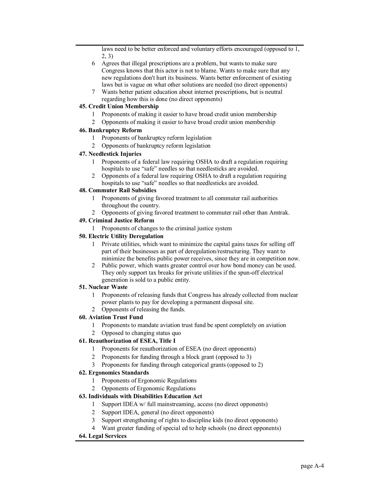laws need to be better enforced and voluntary efforts encouraged (opposed to 1, 2, 3)

- 6 Agrees that illegal prescriptions are a problem, but wants to make sure Congress knows that this actor is not to blame. Wants to make sure that any new regulations don't hurt its business. Wants better enforcement of existing laws but is vague on what other solutions are needed (no direct opponents)
- 7 Wants better patient education about internet prescriptions, but is neutral regarding how this is done (no direct opponents)

## **45. Credit Union Membership**

- 1 Proponents of making it easier to have broad credit union membership
- 2 Opponents of making it easier to have broad credit union membership

## **46. Bankruptcy Reform**

- 1 Proponents of bankruptcy reform legislation
- 2 Opponents of bankruptcy reform legislation

## **47. Needlestick Injuries**

- 1 Proponents of a federal law requiring OSHA to draft a regulation requiring hospitals to use "safe" needles so that needlesticks are avoided.
- 2 Opponents of a federal law requiring OSHA to draft a regulation requiring hospitals to use "safe" needles so that needlesticks are avoided.

## **48. Commuter Rail Subsidies**

- 1 Proponents of giving favored treatment to all commuter rail authorities throughout the country.
- 2 Opponents of giving favored treatment to commuter rail other than Amtrak.

## **49. Criminal Justice Reform**

1 Proponents of changes to the criminal justice system

## **50. Electric Utility Deregulation**

- 1 Private utilities, which want to minimize the capital gains taxes for selling off part of their businesses as part of deregulation/restructuring. They want to minimize the benefits public power receives, since they are in competition now.
- 2 Public power, which wants greater control over how bond money can be used. They only support tax breaks for private utilities if the spun-off electrical generation is sold to a public entity.

### **51. Nuclear Waste**

- 1 Proponents of releasing funds that Congress has already collected from nuclear power plants to pay for developing a permanent disposal site.
- 2 Opponents of releasing the funds.

# **60. Aviation Trust Fund**

- 1 Proponents to mandate aviation trust fund be spent completely on aviation
- 2 Opposed to changing status quo

# **61. Reauthorization of ESEA, Title I**

- 1 Proponents for reauthorization of ESEA (no direct opponents)
- 2 Proponents for funding through a block grant (opposed to 3)
- 3 Proponents for funding through categorical grants (opposed to 2)

# **62. Ergonomics Standards**

- 1 Proponents of Ergonomic Regulations
- 2 Opponents of Ergonomic Regulations

# **63. Individuals with Disabilities Education Act**

- 1 Support IDEA w/ full mainstreaming, access (no direct opponents)
- 2 Support IDEA, general (no direct opponents)
- 3 Support strengthening of rights to discipline kids (no direct opponents)
- 4 Want greater funding of special ed to help schools (no direct opponents)

# **64. Legal Services**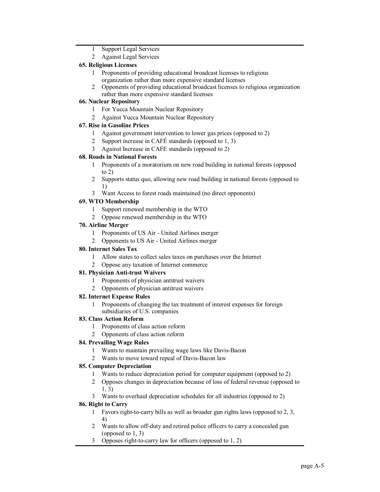- 1 Support Legal Services
- 2 Against Legal Services

## **65. Religious Licenses**

- 1 Proponents of providing educational broadcast licenses to religious organization rather than more expensive standard licenses
- 2 Opponents of providing educational broadcast licenses to religious organization rather than more expensive standard licenses

## **66. Nuclear Repository**

- 1 For Yucca Mountain Nuclear Repository
- 2 Against Yucca Mountain Nuclear Repository

## **67. Rise in Gasoline Prices**

- 1 Against government intervention to lower gas prices (opposed to 2)
- 2 Support increase in CAFÉ standards (opposed to 1, 3)
- 3 Against Increase in CAFE standards (opposed to 2)

## **68. Roads in National Forests**

- 1 Proponents of a moratorium on new road building in national forests (opposed to 2)
- 2 Supports status quo, allowing new road building in national forests (opposed to 1)
- 3 Want Access to forest roads maintained (no direct opponents)

# **69. WTO Membership**

- 1 Support renewed membership in the WTO
- 2 Oppose renewed membership in the WTO

## **70. Airline Merger**

- 1 Proponents of US Air United Airlines merger
- 2 Opponents to US Air United Airlines merger

## **80. Internet Sales Tax**

- 1 Allow states to collect sales taxes on purchases over the Internet
- 2 Oppose any taxation of Internet commerce

### **81. Physician Anti-trust Waivers**

- 1 Proponents of physician antitrust waivers
- 2 Opponents of physician antitrust waivers

### **82. Internet Expense Rules**

1 Proponents of changing the tax treatment of interest expenses for foreign subsidiaries of U.S. companies

### **83. Class Action Reform**

- 1 Proponents of class action reform
- 2 Opponents of class action reform

### **84. Prevailing Wage Rules**

- 1 Wants to maintain prevailing wage laws like Davis-Bacon
- 2 Wants to move toward repeal of Davis-Bacon law

### **85. Computer Depreciation**

- 1 Wants to reduce depreciation period for computer equipment (opposed to 2)
- 2 Opposes changes in depreciation because of loss of federal revenue (opposed to 1, 3)
- 3 Wants to overhaul depreciation schedules for all industries (opposed to 2)

# **86. Right to Carry**

- 1 Favors right-to-carry bills as well as broader gun rights laws (opposed to  $2, 3$ , 4)
- 2 Wants to allow off-duty and retired police officers to carry a concealed gun (opposed to 1, 3)
- 3 Opposes right-to-carry law for officers (opposed to  $1, 2$ )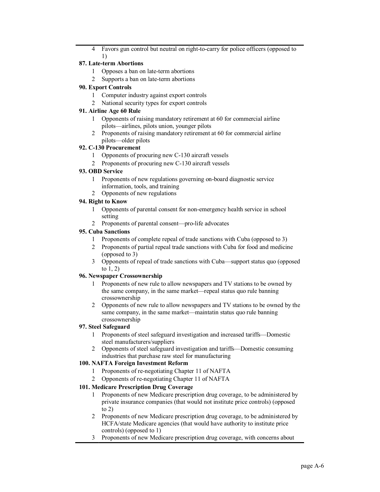4 Favors gun control but neutral on right-to-carry for police officers (opposed to 1)

## **87.** Late-term Abortions

- 1 Opposes a ban on late-term abortions
- 2 Supports a ban on late-term abortions

## **90. Export Controls**

- 1 Computer industry against export controls
- 2 National security types for export controls

# **91. Airline Age 60 Rule**

- 1 Opponents of raising mandatory retirement at 60 for commercial airline pilots—airlines, pilots union, younger pilots
- 2 Proponents of raising mandatory retirement at 60 for commercial airline pilots—older pilots

## **92. C130 Procurement**

- 1 Opponents of procuring new C130 aircraft vessels
- 2 Proponents of procuring new C-130 aircraft vessels

## **93. OBD Service**

- 1 Proponents of new regulations governing on-board diagnostic service information, tools, and training
- 2 Opponents of new regulations

## **94. Right to Know**

- 1 Opponents of parental consent for non-emergency health service in school setting
- 2 Proponents of parental consent—pro-life advocates

## **95. Cuba Sanctions**

- 1 Proponents of complete repeal of trade sanctions with Cuba (opposed to 3)
- 2 Proponents of partial repeal trade sanctions with Cuba for food and medicine (opposed to 3)
- 3 Opponents of repeal of trade sanctions with Cuba—support status quo (opposed to 1, 2)

## **96. Newspaper Crossownership**

- 1 Proponents of new rule to allow newspapers and TV stations to be owned by the same company, in the same market—repeal status quo rule banning crossownership
- 2 Opponents of new rule to allow newspapers and TV stations to be owned by the same company, in the same market—maintatin status quo rule banning crossownership

### **97. Steel Safeguard**

- 1 Proponents of steel safeguard investigation and increased tariffs—Domestic steel manufacturers/suppliers
- 2 Opponents of steel safeguard investigation and tariffs—Domestic consuming industries that purchase raw steel for manufacturing

## **100. NAFTA Foreign Investment Reform**

- 1 Proponents of re-negotiating Chapter 11 of NAFTA
- 2 Opponents of re-negotiating Chapter 11 of NAFTA

# **101. Medicare Prescription Drug Coverage**

- 1 Proponents of new Medicare prescription drug coverage, to be administered by private insurance companies (that would not institute price controls) (opposed to 2)
- 2 Proponents of new Medicare prescription drug coverage, to be administered by HCFA/state Medicare agencies (that would have authority to institute price controls) (opposed to 1)
- 3 Proponents of new Medicare prescription drug coverage, with concerns about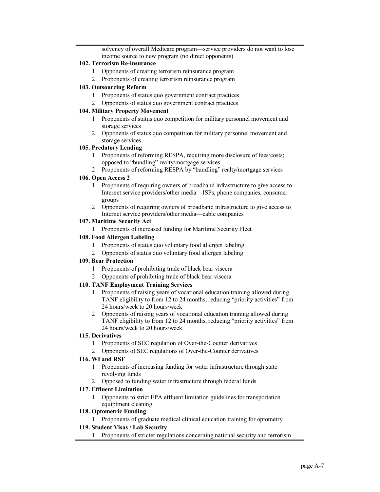solvency of overall Medicare program—service providers do not want to lose income source to new program (no direct opponents)

#### **102. Terrorism Reinsurance**

- 1 Opponents of creating terrorism reinsurance program
- 2 Proponents of creating terrorism reinsurance program

#### **103. Outsourcing Reform**

- 1 Proponents of status quo government contract practices
- 2 Opponents of status quo government contract practices

#### **104. Military Property Movement**

- 1 Proponents of status quo competition for military personnel movement and storage services
- 2 Opponents of status quo competition for military personnel movement and storage services

#### **105. Predatory Lending**

- 1 Proponents of reforming RESPA, requiring more disclosure of fees/costs; opposed to "bundling" realty/mortgage services
- 2 Proponents of reforming RESPA by "bundling" realty/mortgage services

#### **106. Open Access 2**

- 1 Proponents of requiring owners of broadband infrastructure to give access to Internet service providers/other media—ISPs, phone companies, consumer groups
- 2 Opponents of requiring owners of broadband infrastructure to give access to Internet service providers/other media—cable companies

#### **107. Maritime Security Act**

1 Proponents of increased funding for Maritime Security Fleet

#### **108. Food Allergen Labeling**

- 1 Proponents of status quo voluntary food allergen labeling
- 2 Opponents of status quo voluntary food allergen labeling

#### **109. Bear Protection**

- 1 Proponents of prohibiting trade of black bear viscera
- 2 Opponents of prohibiting trade of black bear viscera

### **110. TANF Employment Training Services**

- 1 Proponents of raising years of vocational education training allowed during TANF eligibility to from 12 to 24 months, reducing "priority activities" from 24 hours/week to 20 hours/week
- 2 Opponents of raising years of vocational education training allowed during TANF eligibility to from 12 to 24 months, reducing "priority activities" from 24 hours/week to 20 hours/week

#### **115. Derivatives**

- 1 Proponents of SEC regulation of Over-the-Counter derivatives
- 2 Opponents of SEC regulations of Over-the-Counter derivatives

#### **116. WI and RSF**

- 1 Proponents of increasing funding for water infrastructure through state revolving funds
- 2 Opposed to funding water infrastructure through federal funds

### **117. Effluent Limitation**

1 Opponents to strict EPA effluent limitation guidelines for transportation equiptment cleaning

#### **118. Optometric Funding**

1 Proponents of graduate medical clinical education training for optometry

# **119. Student Visas / Lab Security**

1 Proponents of stricter regulations concerning national security and terrorism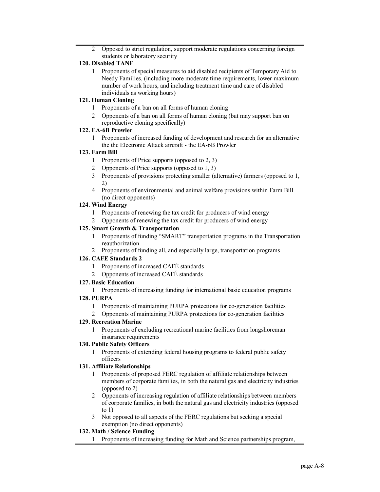2 Opposed to strict regulation, support moderate regulations concerning foreign students or laboratory security

#### **120. Disabled TANF**

1 Proponents of special measures to aid disabled recipients of Temporary Aid to Needy Families, (including more moderate time requirements, lower maximum number of work hours, and including treatment time and care of disabled individuals as working hours)

### **121. Human Cloning**

- 1 Proponents of a ban on all forms of human cloning
- 2 Opponents of a ban on all forms of human cloning (but may support ban on reproductive cloning specifically)

#### **122. EA-6B Prowler**

1 Proponents of increased funding of development and research for an alternative the the Electronic Attack aircraft - the EA-6B Prowler

#### **123. Farm Bill**

- 1 Proponents of Price supports (opposed to 2, 3)
- 2 Opponents of Price supports (opposed to 1, 3)
- 3 Proponents of provisions protecting smaller (alternative) farmers (opposed to 1, 2)
- 4 Proponents of environmental and animal welfare provisions within Farm Bill (no direct opponents)

#### **124. Wind Energy**

- 1 Proponents of renewing the tax credit for producers of wind energy
- 2 Opponents of renewing the tax credit for producers of wind energy

#### **125. Smart Growth & Transportation**

- 1 Proponents of funding "SMART" transportation programs in the Transportation reauthorization
- 2 Proponents of funding all, and especially large, transportation programs

### **126. CAFE Standards 2**

- 1 Proponents of increased CAFÉ standards
- 2 Opponents of increased CAFÉ standards

#### **127. Basic Education**

1 Proponents of increasing funding for international basic education programs

# **128. PURPA**

- 1 Proponents of maintaining PURPA protections for co-generation facilities
- 2 Opponents of maintaining PURPA protections for co-generation facilities

#### **129. Recreation Marine**

1 Proponents of excluding recreational marine facilities from longshoreman insurance requirements

### **130. Public Safety Officers**

1 Proponents of extending federal housing programs to federal public safety officers

#### **131. Affiliate Relationships**

- 1 Proponents of proposed FERC regulation of affiliate relationships between members of corporate families, in both the natural gas and electricity industries (opposed to 2)
- 2 Opponents of increasing regulation of affiliate relationships between members of corporate families, in both the natural gas and electricity industries (opposed to 1)
- 3 Not opposed to all aspects of the FERC regulations but seeking a special exemption (no direct opponents)

### **132. Math / Science Funding**

1 Proponents of increasing funding for Math and Science partnerships program,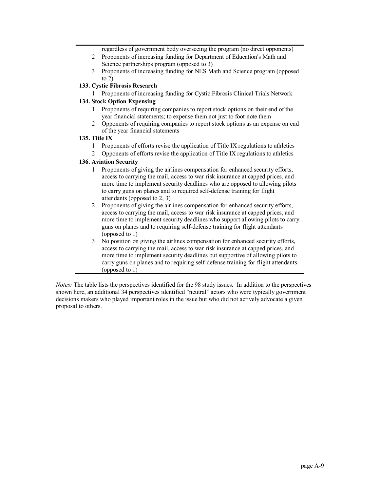regardless of government body overseeing the program (no direct opponents)

- 2 Proponents of increasing funding for Department of Education's Math and Science partnerships program (opposed to 3)
- 3 Proponents of increasing funding for NES Math and Science program (opposed to  $2)$

### **133. Cystic Fibrosis Research**

1 Proponents of increasing funding for Cystic Fibrosis Clinical Trials Network

#### **134. Stock Option Expensing**

- 1 Proponents of requiring companies to report stock options on their end of the year financial statements; to expense them not just to foot note them
- 2 Opponents of requiring companies to report stock options as an expense on end of the year financial statements

## **135. Title IX**

- 1 Proponents of efforts revise the application of Title IX regulations to athletics
- 2 Opponents of efforts revise the application of Title IX regulations to athletics

#### **136. Aviation Security**

- 1 Proponents of giving the airlines compensation for enhanced security efforts, access to carrying the mail, access to war risk insurance at capped prices, and more time to implement security deadlines who are opposed to allowing pilots to carry guns on planes and to required self-defense training for flight attendants (opposed to 2, 3)
- 2 Proponents of giving the airlines compensation for enhanced security efforts, access to carrying the mail, access to war risk insurance at capped prices, and more time to implement security deadlines who support allowing pilots to carry guns on planes and to requiring self-defense training for flight attendants (opposed to 1)
- 3 No position on giving the airlines compensation for enhanced security efforts, access to carrying the mail, access to war risk insurance at capped prices, and more time to implement security deadlines but supportive of allowing pilots to carry guns on planes and to requiring self-defense training for flight attendants (opposed to 1)

*Notes:* The table lists the perspectives identified for the 98 study issues. In addition to the perspectives shown here, an additional 34 perspectives identified "neutral" actors who were typically government decisions makers who played important roles in the issue but who did not actively advocate a given proposal to others.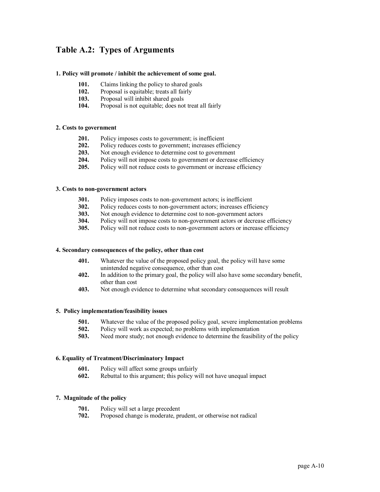# **Table A.2: Types of Arguments**

#### **1. Policy will promote /inhibit the achievement of some goal.**

- **101.** Claims linking the policy to shared goals
- **102.** Proposal is equitable; treats all fairly **103.** Proposal will inhibit shared goals
- **103.** Proposal will inhibit shared goals<br>**104.** Proposal is not equitable: does not
- **104.** Proposal is not equitable; does not treat all fairly

#### **2. Costs to government**

- **201.** Policy imposes costs to government; is inefficient
- **202.** Policy reduces costs to government; increases efficiency
- **203.** Not enough evidence to determine cost to government
- **204.** Policy will not impose costs to government or decrease efficiency **205.** Policy will not reduce costs to government or increase efficiency
- Policy will not reduce costs to government or increase efficiency

#### **3. Costs to nongovernment actors**

- **301.** Policy imposes costs to non-government actors; is inefficient
- **302.** Policy reduces costs to non-government actors; increases efficiency **303**. Not enough evidence to determine cost to non-government actors
- Not enough evidence to determine cost to non-government actors
- **304.** Policy will not impose costs to non-government actors or decrease efficiency
- **305.** Policy will not reduce costs to non-government actors or increase efficiency

#### **4. Secondary consequences of the policy, other than cost**

- **401.** Whatever the value of the proposed policy goal, the policy will have some unintended negative consequence, other than cost
- **402.** In addition to the primary goal, the policy will also have some secondary benefit, other than cost
- **403.** Not enough evidence to determine what secondary consequences will result

### **5. Policy implementation/feasibility issues**

- **501.** Whatever the value of the proposed policy goal, severe implementation problems **502.** Policy will work as expected; no problems with implementation
- **502.** Policy will work as expected; no problems with implementation
- **503.** Need more study; not enough evidence to determine the feasibility of the policy

#### **6. Equality of Treatment/Discriminatory Impact**

- **601.** Policy will affect some groups unfairly **602.** Rebuttal to this argument; this policy w
- **602.** Rebuttal to this argument; this policy will not have unequal impact

#### **7. Magnitude of the policy**

- **701.** Policy will set a large precedent
- **702.** Proposed change is moderate, prudent, or otherwise not radical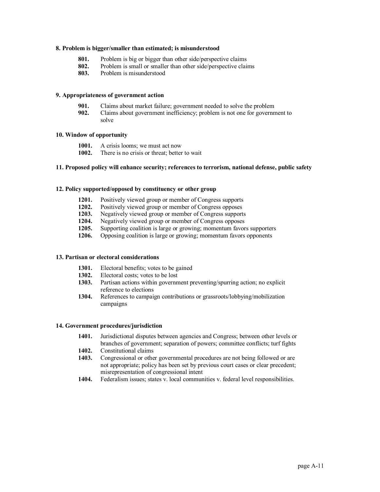#### **8. Problem is bigger/smaller than estimated; is misunderstood**

- **801.** Problem is big or bigger than other side/perspective claims
- **802.** Problem is small or smaller than other side/perspective claims
- **803.** Problem is misunderstood

#### **9. Appropriateness of government action**

- **901.** Claims about market failure; government needed to solve the problem **902.** Claims about government inefficiency; problem is not one for government
- **902.** Claims about government inefficiency; problem is not one for government to solve

#### **10. Window of opportunity**

- **1001.** A crisis looms; we must act now
- **1002.** There is no crisis or threat; better to wait

#### **11. Proposed policy will enhance security; references to terrorism, national defense, public safety**

#### **12. Policy supported/opposed by constituency or other group**

- **1201.** Positively viewed group or member of Congress supports
- **1202.** Positively viewed group or member of Congress opposes
- **1203.** Negatively viewed group or member of Congress supports
- **1204.** Negatively viewed group or member of Congress opposes
- **1205.** Supporting coalition is large or growing; momentum favors supporters **1206.** Opposing coalition is large or growing: momentum favors opponents
- **1206.** Opposing coalition is large or growing; momentum favors opponents

#### **13. Partisan or electoral considerations**

- **1301.** Electoral benefits; votes to be gained<br>**1302.** Electoral costs: votes to be lost
- **1302.** Electoral costs; votes to be lost
- **1303.** Partisan actions within government preventing/spurring action; no explicit reference to elections
- **1304.** References to campaign contributions or grassroots/lobbying/mobilization campaigns

#### **14. Government procedures/jurisdiction**

- **1401.** Jurisdictional disputes between agencies and Congress; between other levels or branches of government; separation of powers; committee conflicts; turf fights
- **1402.** Constitutional claims
- **1403.** Congressional or other governmental procedures are not being followed or are not appropriate; policy has been set by previous court cases or clear precedent; misrepresentation of congressional intent
- **1404.** Federalism issues; states v. local communities v. federal level responsibilities.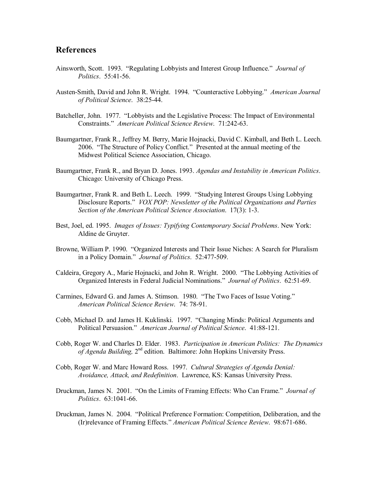# **References**

- Ainsworth, Scott. 1993. "Regulating Lobbyists and Interest Group Influence." *Journal of Politics*. 55:41-56.
- Austen-Smith, David and John R. Wright. 1994. "Counteractive Lobbying." American Journal *of Political Science*. 38:2544.
- Batcheller, John. 1977. "Lobbyists and the Legislative Process: The Impact of Environmental Constraints." *American Political Science Review*. 71:24263.
- Baumgartner, Frank R., Jeffrey M. Berry, Marie Hojnacki, David C. Kimball, and Beth L. Leech. 2006. "The Structure of Policy Conflict." Presented at the annual meeting of the Midwest Political Science Association, Chicago.
- Baumgartner, Frank R., and Bryan D. Jones. 1993. *Agendas and Instability in American Politics*. Chicago: University of Chicago Press.
- Baumgartner, Frank R. and Beth L. Leech. 1999. "Studying Interest Groups Using Lobbying Disclosure Reports." *VOX POP: Newsletter of the Political Organizations and Parties Section of the American Political Science Association.* 17(3): 1-3.
- Best, Joel, ed. 1995. *Images of Issues: Typifying Contemporary Social Problems*. New York: Aldine de Gruyter.
- Browne, William P. 1990. "Organized Interests and Their Issue Niches: A Search for Pluralism in a Policy Domain." *Journal of Politics*. 52:477-509.
- Caldeira, Gregory A., Marie Hojnacki, and John R. Wright. 2000. "The Lobbying Activities of Organized Interests in Federal Judicial Nominations." *Journal of Politics*. 62:51-69.
- Carmines, Edward G. and James A. Stimson. 1980. "The Two Faces of Issue Voting." *American Political Science Review.* 74: 78-91.
- Cobb, Michael D. and James H. Kuklinski. 1997. "Changing Minds: Political Arguments and Political Persuasion." American Journal of Political Science. 41:88-121.
- Cobb, Roger W. and Charles D. Elder. 1983. *Participation in American Politics: The Dynamics of Agenda Building*, 2<sup>nd</sup> edition. Baltimore: John Hopkins University Press.
- Cobb, Roger W. and Marc Howard Ross. 1997. *Cultural Strategies of Agenda Denial: Avoidance, Attack, and Redefinition*. Lawrence, KS: Kansas University Press.
- Druckman, James N. 2001. "On the Limits of Framing Effects: Who Can Frame." *Journal of Politics.* 63:1041-66.
- Druckman, James N. 2004. "Political Preference Formation: Competition, Deliberation, and the (Ir)relevance of Framing Effects." American Political Science Review. 98:671-686.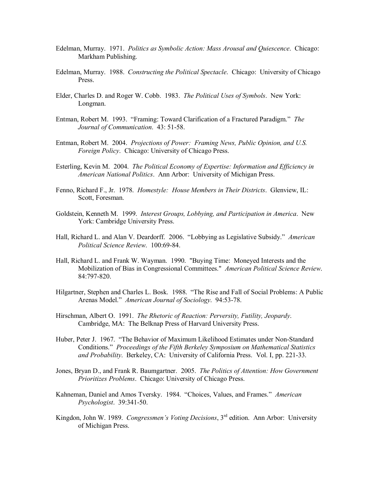- Edelman, Murray. 1971. *Politics as Symbolic Action: Mass Arousal and Quiescence*. Chicago: Markham Publishing.
- Edelman, Murray. 1988. *Constructing the Political Spectacle*. Chicago: University of Chicago Press.
- Elder, Charles D. and Roger W. Cobb. 1983. *The Political Uses of Symbols*. New York: Longman.
- Entman, Robert M. 1993. "Framing: Toward Clarification of a Fractured Paradigm." *The Journal of Communication.* 43: 51-58.
- Entman, Robert M. 2004. *Projections of Power: Framing News, Public Opinion, and U.S. Foreign Policy*. Chicago: University of Chicago Press.
- Esterling, Kevin M. 2004. *The Political Economy of Expertise: Information and Efficiency in American National Politics*. Ann Arbor: University of Michigan Press.
- Fenno, Richard F., Jr. 1978. *Homestyle: House Members in Their Districts*. Glenview, IL: Scott, Foresman.
- Goldstein, Kenneth M. 1999. *Interest Groups, Lobbying, and Participation in America*. New York: Cambridge University Press.
- Hall, Richard L. and Alan V. Deardorff. 2006. "Lobbying as Legislative Subsidy." *American Political Science Review.* 100:69-84.
- Hall, Richard L. and Frank W. Wayman. 1990. "Buying Time: Moneyed Interests and the Mobilization of Bias in Congressional Committees." *American Political Science Review*. 84:797-820.
- Hilgartner, Stephen and Charles L. Bosk. 1988. "The Rise and Fall of Social Problems: A Public Arenas Model." *American Journal of Sociology*. 94:5378.
- Hirschman, Albert O. 1991. *The Rhetoric of Reaction: Perversity, Futility, Jeopardy*. Cambridge, MA: The Belknap Press of Harvard University Press.
- Huber, Peter J. 1967. "The Behavior of Maximum Likelihood Estimates under Non-Standard Conditions." *Proceedings of the Fifth Berkeley Symposium on Mathematical Statistics*  and Probability. Berkeley, CA: University of California Press. Vol. I, pp. 221-33.
- Jones, Bryan D., and Frank R. Baumgartner. 2005. *The Politics of Attention: How Government Prioritizes Problems*. Chicago: University of Chicago Press.
- Kahneman, Daniel and Amos Tversky. 1984. "Choices, Values, and Frames." *American Psychologist.* 39:341-50.
- Kingdon, John W. 1989. *Congressmen's Voting Decisions*, 3<sup>rd</sup> edition. Ann Arbor: University of Michigan Press.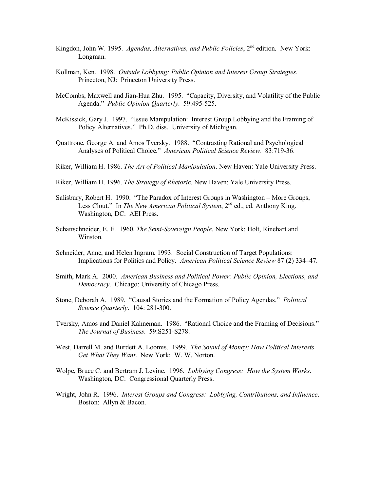- Kingdon, John W. 1995. *Agendas, Alternatives, and Public Policies*, 2<sup>nd</sup> edition. New York: Longman.
- Kollman, Ken. 1998. *Outside Lobbying: Public Opinion and Interest Group Strategies*. Princeton, NJ: Princeton University Press.
- McCombs, Maxwell and Jian-Hua Zhu. 1995. "Capacity, Diversity, and Volatility of the Public Agenda." *Public Opinion Quarterly.* 59:495-525.
- McKissick, Gary J. 1997. "Issue Manipulation: Interest Group Lobbying and the Framing of Policy Alternatives." Ph.D. diss. University of Michigan.
- Quattrone, George A. and Amos Tversky. 1988. "Contrasting Rational and Psychological Analyses of Political Choice." *American Political Science Review.* 83:71936.
- Riker, William H. 1986. *The Art of Political Manipulation*. New Haven: Yale University Press.
- Riker, William H. 1996. *The Strategy of Rhetoric.* New Haven: Yale University Press.
- Salisbury, Robert H. 1990. "The Paradox of Interest Groups in Washington More Groups, Less Clout." In *The New American Political System*, 2<sup>nd</sup> ed., ed. Anthony King. Washington, DC: AEI Press.
- Schattschneider, E. E. 1960. *The SemiSovereign People*. New York: Holt, Rinehart and Winston.
- Schneider, Anne, and Helen Ingram. 1993. Social Construction of Target Populations: Implications for Politics and Policy. *American Political Science Review* 87 (2) 334–47.
- Smith, Mark A. 2000. *American Business and Political Power: Public Opinion, Elections, and Democracy*. Chicago: University of Chicago Press.
- Stone, Deborah A. 1989. "Causal Stories and the Formation of Policy Agendas." *Political Science Quarterly.* 104: 281-300.
- Tversky, Amos and Daniel Kahneman. 1986. "Rational Choice and the Framing of Decisions." *The Journal of Business.* 59:S251-S278.
- West, Darrell M. and Burdett A. Loomis. 1999. *The Sound of Money: How Political Interests Get What They Want*. New York: W. W. Norton.
- Wolpe, Bruce C. and Bertram J. Levine. 1996. *Lobbying Congress: How the System Works*. Washington, DC: Congressional Quarterly Press.
- Wright, John R. 1996. *Interest Groups and Congress: Lobbying, Contributions, and Influence*. Boston: Allyn & Bacon.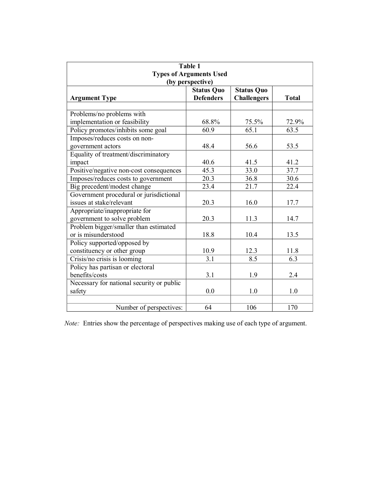| Table 1<br><b>Types of Arguments Used</b><br>(by perspective) |                                       |                                         |              |  |  |
|---------------------------------------------------------------|---------------------------------------|-----------------------------------------|--------------|--|--|
| <b>Argument Type</b>                                          | <b>Status Quo</b><br><b>Defenders</b> | <b>Status Quo</b><br><b>Challengers</b> | <b>Total</b> |  |  |
|                                                               |                                       |                                         |              |  |  |
| Problems/no problems with                                     |                                       |                                         |              |  |  |
| implementation or feasibility                                 | 68.8%                                 | 75.5%                                   | 72.9%        |  |  |
| Policy promotes/inhibits some goal                            | 60.9                                  | 65.1                                    | 63.5         |  |  |
| Imposes/reduces costs on non-                                 |                                       |                                         |              |  |  |
| government actors                                             | 48.4                                  | 56.6                                    | 53.5         |  |  |
| Equality of treatment/discriminatory                          |                                       |                                         |              |  |  |
| impact                                                        | 40.6                                  | 41.5                                    | 41.2         |  |  |
| Positive/negative non-cost consequences                       | 45.3                                  | 33.0                                    | 37.7         |  |  |
| Imposes/reduces costs to government                           | 20.3                                  | 36.8                                    | 30.6         |  |  |
| Big precedent/modest change                                   | 23.4                                  | 21.7                                    | 22.4         |  |  |
| Government procedural or jurisdictional                       |                                       |                                         |              |  |  |
| issues at stake/relevant                                      | 20.3                                  | 16.0                                    | 17.7         |  |  |
| Appropriate/inappropriate for                                 |                                       |                                         |              |  |  |
| government to solve problem                                   | 20.3                                  | 11.3                                    | 14.7         |  |  |
| Problem bigger/smaller than estimated                         |                                       |                                         |              |  |  |
| or is misunderstood                                           | 18.8                                  | 10.4                                    | 13.5         |  |  |
| Policy supported/opposed by                                   |                                       |                                         |              |  |  |
| constituency or other group                                   | 10.9                                  | 12.3                                    | 11.8         |  |  |
| Crisis/no crisis is looming                                   | 3.1                                   | 8.5                                     | 6.3          |  |  |
| Policy has partisan or electoral                              |                                       |                                         |              |  |  |
| benefits/costs                                                | 3.1                                   | 1.9                                     | 2.4          |  |  |
| Necessary for national security or public                     |                                       |                                         |              |  |  |
| safety                                                        | 0.0                                   | 1.0                                     | 1.0          |  |  |
|                                                               |                                       |                                         |              |  |  |
| Number of perspectives:                                       | 64                                    | 106                                     | 170          |  |  |

*Note:* Entries show the percentage of perspectives making use of each type of argument.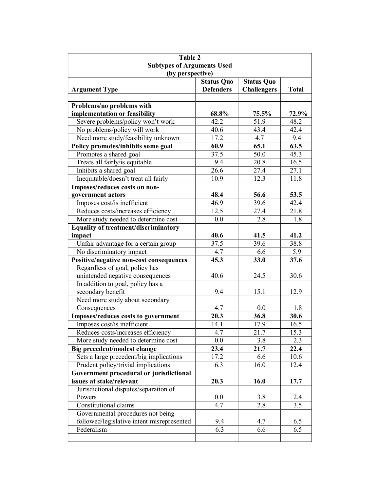| Table 2                                               |                         |                    |                   |
|-------------------------------------------------------|-------------------------|--------------------|-------------------|
| <b>Subtypes of Arguments Used</b><br>(by perspective) |                         |                    |                   |
|                                                       | <b>Status Quo</b>       | <b>Status Quo</b>  |                   |
| <b>Argument Type</b>                                  | <b>Defenders</b>        | <b>Challengers</b> | <b>Total</b>      |
| Problems/no problems with                             |                         |                    |                   |
| implementation or feasibility                         | 68.8%                   | 75.5%              | 72.9%             |
| Severe problems/policy won't work                     | 42.2                    | 51.9               | 48.2              |
| No problems/policy will work                          | 40.6                    | 43.4               | 42.4              |
| Need more study/feasibility unknown                   | 17.2                    | 4.7                | 9.4               |
| Policy promotes/inhibits some goal                    | 60.9                    | 65.1               | 63.5              |
| Promotes a shared goal                                | 37.5                    | 50.0               | 45.3              |
| Treats all fairly/is equitable                        | 9.4                     | 20.8               | 16.5              |
| Inhibits a shared goal                                | 26.6                    | 27.4               | 27.1              |
| Inequitable/doesn't treat all fairly                  | 10.9                    | $12.\overline{3}$  | $11.\overline{8}$ |
| Imposes/reduces costs on non-                         |                         |                    |                   |
| government actors                                     | 48.4                    | 56.6               | 53.5              |
| Imposes cost/is inefficient                           | 46.9                    | 39.6               | 42.4              |
| Reduces costs/increases efficiency                    | 12.5                    | 27.4               | 21.8              |
| More study needed to determine cost                   | 0.0                     | $2.\overline{8}$   | 1.8               |
| <b>Equality of treatment/discriminatory</b>           |                         |                    |                   |
| impact                                                | 40.6                    | 41.5               | 41.2              |
| Unfair advantage for a certain group                  | 37.5                    | 39.6               | 38.8              |
| No discriminatory impact                              | 4.7                     | 6.6                | 5.9               |
| Positive/negative non-cost consequences               | 45.3                    | 33.0               | 37.6              |
| Regardless of goal, policy has                        |                         |                    |                   |
| unintended negative consequences                      | 40.6                    | 24.5               | 30.6              |
| In addition to goal, policy has a                     |                         |                    |                   |
| secondary benefit                                     | 9.4                     | 15.1               | 12.9              |
| Need more study about secondary                       |                         |                    |                   |
| Consequences                                          | 4.7                     | 0.0                | 1.8               |
| Imposes/reduces costs to government                   | 20.3                    | 36.8               | 30.6              |
| Imposes cost/is inefficient                           | 14.1                    | 17.9               | 16.5              |
| Reduces costs/increases efficiency                    | 4.7                     | 21.7               | 15.3              |
| More study needed to determine cost                   | 0.0                     | 3.8                | 2.3               |
| Big precedent/modest change                           | 23.4                    | 21.7               | 22.4              |
| Sets a large precedent/big implications               | 17.2                    | 6.6                | 10.6              |
| Prudent policy/trivial implications                   | 6.3                     | 16.0               | 12.4              |
| Government procedural or jurisdictional               |                         |                    |                   |
| issues at stake/relevant                              | 20.3                    | 16.0               | 17.7              |
| Jurisdictional disputes/separation of                 |                         |                    |                   |
| Powers                                                | 0.0<br>$4.\overline{7}$ | 3.8                | $\frac{2.4}{3.5}$ |
| Constitutional claims                                 |                         | 2.8                |                   |
| Governmental procedures not being                     |                         |                    |                   |
| followed/legislative intent misrepresented            | 9.4                     | 4.7                | 6.5               |
| Federalism                                            | $\overline{6.3}$        | 6.6                | 6.5               |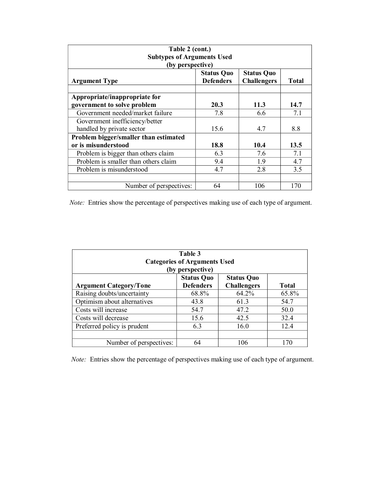| Table 2 (cont.)<br><b>Subtypes of Arguments Used</b><br>(by perspective) |                                       |                                         |              |  |
|--------------------------------------------------------------------------|---------------------------------------|-----------------------------------------|--------------|--|
| <b>Argument Type</b>                                                     | <b>Status Quo</b><br><b>Defenders</b> | <b>Status Quo</b><br><b>Challengers</b> | <b>Total</b> |  |
| Appropriate/inappropriate for<br>government to solve problem             | 20.3                                  | 11.3                                    | 14.7         |  |
| Government needed/market failure                                         | 7.8                                   | 6.6                                     | 7.1          |  |
| Government inefficiency/better                                           |                                       |                                         |              |  |
| handled by private sector                                                | 15.6                                  | 4.7                                     | 8.8          |  |
| Problem bigger/smaller than estimated                                    |                                       |                                         |              |  |
| or is misunderstood                                                      | 18.8                                  | 10.4                                    | 13.5         |  |
| Problem is bigger than others claim                                      | 6.3                                   | 7.6                                     | 7.1          |  |
| Problem is smaller than others claim                                     | 9.4                                   | 1.9                                     | 4.7          |  |
| Problem is misunderstood                                                 | 4.7                                   | 2.8                                     | 3.5          |  |
|                                                                          |                                       |                                         |              |  |
| Number of perspectives:                                                  | 64                                    | 106                                     | 170          |  |

*Note:* Entries show the percentage of perspectives making use of each type of argument.

| Table 3<br><b>Categories of Arguments Used</b><br>(by perspective) |                                       |                                         |              |  |  |
|--------------------------------------------------------------------|---------------------------------------|-----------------------------------------|--------------|--|--|
| <b>Argument Category/Tone</b>                                      | <b>Status Quo</b><br><b>Defenders</b> | <b>Status Quo</b><br><b>Challengers</b> | <b>Total</b> |  |  |
| Raising doubts/uncertainty                                         | 68.8%                                 | 64.2%                                   | 65.8%        |  |  |
| Optimism about alternatives                                        | 43.8                                  | 61.3                                    | 54.7         |  |  |
| Costs will increase                                                | 54.7                                  | 47.2                                    | 50.0         |  |  |
| Costs will decrease                                                | 15.6                                  | 42.5                                    | 32.4         |  |  |
| Preferred policy is prudent                                        | 6.3                                   | 16.0                                    | 12.4         |  |  |
|                                                                    |                                       |                                         |              |  |  |
| Number of perspectives:                                            | 64                                    | 106                                     | 170          |  |  |

*Note:* Entries show the percentage of perspectives making use of each type of argument.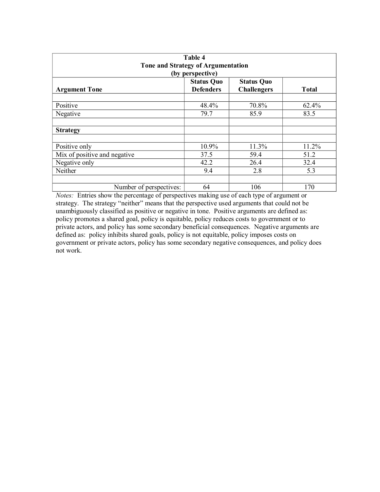| Table 4<br>Tone and Strategy of Argumentation<br>(by perspective) |                                       |                                         |              |  |  |
|-------------------------------------------------------------------|---------------------------------------|-----------------------------------------|--------------|--|--|
| <b>Argument Tone</b>                                              | <b>Status Quo</b><br><b>Defenders</b> | <b>Status Quo</b><br><b>Challengers</b> | <b>Total</b> |  |  |
| Positive                                                          | 48.4%                                 | 70.8%                                   | 62.4%        |  |  |
| Negative                                                          | 79.7                                  | 85.9                                    | 83.5         |  |  |
| <b>Strategy</b>                                                   |                                       |                                         |              |  |  |
| Positive only                                                     | 10.9%                                 | 11.3%                                   | 11.2%        |  |  |
| Mix of positive and negative                                      | 37.5                                  | 59.4                                    | 51.2         |  |  |
| Negative only                                                     | 42.2                                  | 26.4                                    | 32.4         |  |  |
| Neither                                                           | 9.4                                   | 2.8                                     | 5.3          |  |  |
| Number of perspectives:                                           | 64                                    | 106                                     | 170          |  |  |

*Notes:* Entries show the percentage of perspectives making use of each type of argument or strategy. The strategy "neither" means that the perspective used arguments that could not be unambiguously classified as positive or negative in tone. Positive arguments are defined as: policy promotes a shared goal, policy is equitable, policy reduces costs to government or to private actors, and policy has some secondary beneficial consequences. Negative arguments are defined as: policy inhibits shared goals, policy is not equitable, policy imposes costs on government or private actors, policy has some secondary negative consequences, and policy does not work.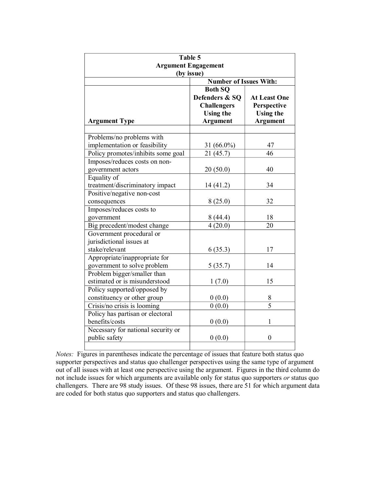| Table $\overline{5}$<br><b>Argument Engagement</b><br>(by issue)       |                                                                                               |                                                                           |  |  |  |
|------------------------------------------------------------------------|-----------------------------------------------------------------------------------------------|---------------------------------------------------------------------------|--|--|--|
| <b>Number of Issues With:</b>                                          |                                                                                               |                                                                           |  |  |  |
| <b>Argument Type</b>                                                   | <b>Both SQ</b><br>Defenders & SQ<br><b>Challengers</b><br><b>Using the</b><br><b>Argument</b> | <b>At Least One</b><br>Perspective<br><b>Using the</b><br><b>Argument</b> |  |  |  |
| Problems/no problems with                                              |                                                                                               |                                                                           |  |  |  |
| implementation or feasibility                                          | 31 (66.0%)                                                                                    | 47                                                                        |  |  |  |
| Policy promotes/inhibits some goal                                     | 21(45.7)                                                                                      | 46                                                                        |  |  |  |
| Imposes/reduces costs on non-                                          |                                                                                               |                                                                           |  |  |  |
| government actors                                                      | 20(50.0)                                                                                      | 40                                                                        |  |  |  |
| Equality of                                                            |                                                                                               |                                                                           |  |  |  |
| treatment/discriminatory impact                                        | 14 (41.2)                                                                                     | 34                                                                        |  |  |  |
| Positive/negative non-cost                                             |                                                                                               |                                                                           |  |  |  |
| consequences                                                           | 8(25.0)                                                                                       | 32                                                                        |  |  |  |
| Imposes/reduces costs to                                               |                                                                                               |                                                                           |  |  |  |
| government                                                             | 8(44.4)                                                                                       | 18                                                                        |  |  |  |
| Big precedent/modest change                                            | 4(20.0)                                                                                       | 20                                                                        |  |  |  |
| Government procedural or<br>jurisdictional issues at<br>stake/relevant | 6(35.3)                                                                                       | 17                                                                        |  |  |  |
| Appropriate/inappropriate for                                          |                                                                                               |                                                                           |  |  |  |
| government to solve problem                                            | 5(35.7)                                                                                       | 14                                                                        |  |  |  |
| Problem bigger/smaller than                                            |                                                                                               |                                                                           |  |  |  |
| estimated or is misunderstood                                          | 1(7.0)                                                                                        | 15                                                                        |  |  |  |
| Policy supported/opposed by                                            |                                                                                               |                                                                           |  |  |  |
| constituency or other group                                            | 0(0.0)                                                                                        | 8                                                                         |  |  |  |
| Crisis/no crisis is looming                                            | 0(0.0)                                                                                        | $\overline{5}$                                                            |  |  |  |
| Policy has partisan or electoral                                       |                                                                                               |                                                                           |  |  |  |
| benefits/costs                                                         | 0(0.0)                                                                                        | 1                                                                         |  |  |  |
| Necessary for national security or                                     |                                                                                               |                                                                           |  |  |  |
| public safety                                                          | 0(0.0)                                                                                        | $\boldsymbol{0}$                                                          |  |  |  |
|                                                                        |                                                                                               |                                                                           |  |  |  |

*Notes:* Figures in parentheses indicate the percentage of issues that feature both status quo supporter perspectives and status quo challenger perspectives using the same type of argument out of all issues with at least one perspective using the argument. Figures in the third column do not include issues for which arguments are available only for status quo supporters *or* status quo challengers. There are 98 study issues. Of these 98 issues, there are 51 for which argument data are coded for both status quo supporters and status quo challengers.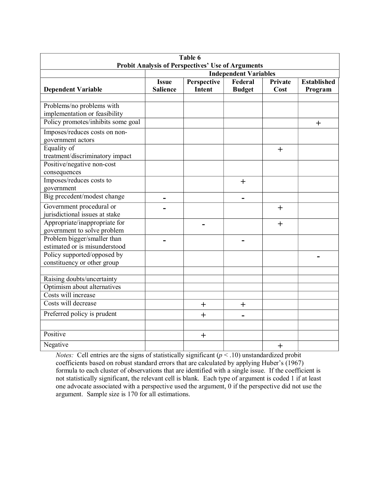| Table 6                                                                                  |                                 |                       |                          |                 |                               |
|------------------------------------------------------------------------------------------|---------------------------------|-----------------------|--------------------------|-----------------|-------------------------------|
| <b>Probit Analysis of Perspectives' Use of Arguments</b><br><b>Independent Variables</b> |                                 |                       |                          |                 |                               |
| <b>Dependent Variable</b>                                                                | <b>Issue</b><br><b>Salience</b> | Perspective<br>Intent | Federal<br><b>Budget</b> | Private<br>Cost | <b>Established</b><br>Program |
| Problems/no problems with<br>implementation or feasibility                               |                                 |                       |                          |                 |                               |
| Policy promotes/inhibits some goal                                                       |                                 |                       |                          |                 | $\pm$                         |
| Imposes/reduces costs on non-<br>government actors                                       |                                 |                       |                          |                 |                               |
| Equality of<br>treatment/discriminatory impact<br>Positive/negative non-cost             |                                 |                       |                          | $+$             |                               |
| consequences                                                                             |                                 |                       |                          |                 |                               |
| Imposes/reduces costs to<br>government                                                   |                                 |                       | $+$                      |                 |                               |
| Big precedent/modest change                                                              | -                               |                       | -                        |                 |                               |
| Government procedural or<br>jurisdictional issues at stake                               |                                 |                       |                          | $+$             |                               |
| Appropriate/inappropriate for<br>government to solve problem                             |                                 |                       |                          | $+$             |                               |
| Problem bigger/smaller than<br>estimated or is misunderstood                             |                                 |                       |                          |                 |                               |
| Policy supported/opposed by<br>constituency or other group                               |                                 |                       |                          |                 |                               |
| Raising doubts/uncertainty                                                               |                                 |                       |                          |                 |                               |
| Optimism about alternatives                                                              |                                 |                       |                          |                 |                               |
| Costs will increase                                                                      |                                 |                       |                          |                 |                               |
| Costs will decrease                                                                      |                                 | $\pm$                 | $\pm$                    |                 |                               |
| Preferred policy is prudent                                                              |                                 | $+$                   | $\blacksquare$           |                 |                               |
| Positive                                                                                 |                                 | $\pm$                 |                          |                 |                               |
| Negative                                                                                 |                                 |                       |                          | $\ddag$         |                               |

*Notes:* Cell entries are the signs of statistically significant  $(p < .10)$  unstandardized probit coefficients based on robust standard errors that are calculated by applying Huber's (1967) formula to each cluster of observations that are identified with a single issue. If the coefficient is not statistically significant, the relevant cell is blank. Each type of argument is coded 1 if at least one advocate associated with a perspective used the argument, 0 if the perspective did not use the argument. Sample size is 170 for all estimations.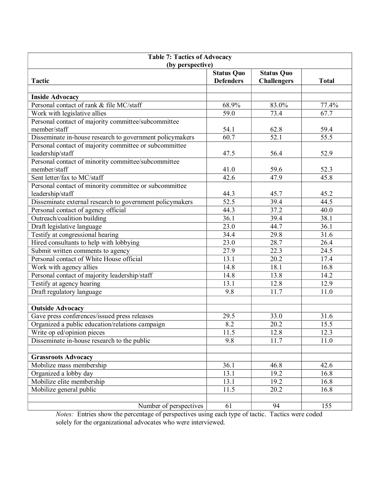| <b>Table 7: Tactics of Advocacy</b>                      |                                       |                    |                   |  |  |
|----------------------------------------------------------|---------------------------------------|--------------------|-------------------|--|--|
| (by perspective)                                         |                                       |                    |                   |  |  |
| <b>Tactic</b>                                            | <b>Status Quo</b><br><b>Defenders</b> | <b>Status Quo</b>  | <b>Total</b>      |  |  |
|                                                          |                                       | <b>Challengers</b> |                   |  |  |
| <b>Inside Advocacy</b>                                   |                                       |                    |                   |  |  |
| Personal contact of rank & file MC/staff                 | 68.9%                                 | 83.0%              | 77.4%             |  |  |
| Work with legislative allies                             | $\overline{59.0}$                     | 73.4               | 67.7              |  |  |
| Personal contact of majority committee/subcommittee      |                                       |                    |                   |  |  |
| member/staff                                             | 54.1                                  | 62.8               | 59.4              |  |  |
| Disseminate in-house research to government policymakers | $\overline{60.7}$                     | $\overline{52.1}$  | $\overline{55.5}$ |  |  |
| Personal contact of majority committee or subcommittee   |                                       |                    |                   |  |  |
| leadership/staff                                         | 47.5                                  | 56.4               | 52.9              |  |  |
| Personal contact of minority committee/subcommittee      |                                       |                    |                   |  |  |
| member/staff                                             | 41.0                                  | 59.6               | 52.3              |  |  |
| Sent letter/fax to MC/staff                              | 42.6                                  | 47.9               | 45.8              |  |  |
| Personal contact of minority committee or subcommittee   |                                       |                    |                   |  |  |
| leadership/staff                                         | 44.3                                  | 45.7               | 45.2              |  |  |
| Disseminate external research to government policymakers | 52.5                                  | 39.4               | 44.5              |  |  |
| Personal contact of agency official                      | 44.3                                  | 37.2               | 40.0              |  |  |
| Outreach/coalition building                              | 36.1                                  | 39.4               | 38.1              |  |  |
| Draft legislative language                               | 23.0                                  | 44.7               | 36.1              |  |  |
| Testify at congressional hearing                         | 34.4                                  | 29.8               | 31.6              |  |  |
| Hired consultants to help with lobbying                  | 23.0                                  | 28.7               | 26.4              |  |  |
| Submit written comments to agency                        | 27.9                                  | 22.3               | 24.5              |  |  |
| Personal contact of White House official                 | 13.1                                  | 20.2               | 17.4              |  |  |
| Work with agency allies                                  | 14.8                                  | 18.1               | 16.8              |  |  |
| Personal contact of majority leadership/staff            | 14.8                                  | 13.8               | 14.2              |  |  |
| Testify at agency hearing                                | 13.1                                  | 12.8               | 12.9              |  |  |
| Draft regulatory language                                | 9.8                                   | 11.7               | 11.0              |  |  |
|                                                          |                                       |                    |                   |  |  |
| <b>Outside Advocacy</b>                                  |                                       |                    |                   |  |  |
| Gave press conferences/issued press releases             | 29.5                                  | 33.0               | 31.6              |  |  |
| Organized a public education/relations campaign          | 8.2                                   | 20.2               | 15.5              |  |  |
| Write op ed/opinion pieces                               | 11.5                                  | 12.8               | 12.3              |  |  |
| Disseminate in-house research to the public              | 9.8                                   | 11.7               | 11.0              |  |  |
|                                                          |                                       |                    |                   |  |  |
| <b>Grassroots Advocacy</b>                               |                                       |                    |                   |  |  |
| Mobilize mass membership                                 | 36.1                                  | 46.8               | 42.6              |  |  |
| Organized a lobby day                                    | 13.1                                  | 19.2               | 16.8              |  |  |
| Mobilize elite membership                                | 13.1                                  | 19.2               | 16.8              |  |  |
| Mobilize general public                                  | 11.5                                  | 20.2               | 16.8              |  |  |
|                                                          |                                       |                    |                   |  |  |
| Number of perspectives                                   | 61                                    | 94                 | 155               |  |  |

*Notes:* Entries show the percentage of perspectives using each type of tactic. Tactics were coded solely for the organizational advocates who were interviewed.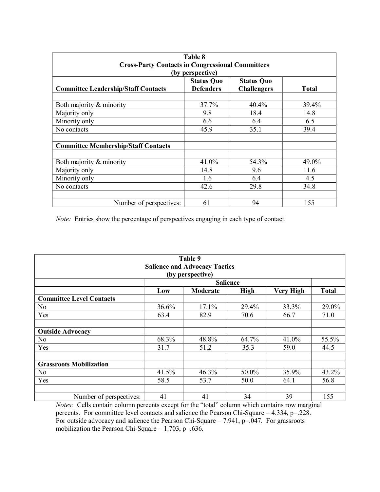| Table 8<br><b>Cross-Party Contacts in Congressional Committees</b><br>(by perspective) |                                       |                                         |              |  |  |
|----------------------------------------------------------------------------------------|---------------------------------------|-----------------------------------------|--------------|--|--|
| <b>Committee Leadership/Staff Contacts</b>                                             | <b>Status Quo</b><br><b>Defenders</b> | <b>Status Quo</b><br><b>Challengers</b> | <b>Total</b> |  |  |
| Both majority & minority                                                               | 37.7%                                 | 40.4%                                   | 39.4%        |  |  |
| Majority only                                                                          | 9.8                                   | 18.4                                    | 14.8         |  |  |
| Minority only                                                                          | 6.6                                   | 6.4                                     | 6.5          |  |  |
| No contacts                                                                            | 45.9                                  | 35.1                                    | 39.4         |  |  |
| <b>Committee Membership/Staff Contacts</b>                                             |                                       |                                         |              |  |  |
| Both majority & minority                                                               | 41.0%                                 | 54.3%                                   | 49.0%        |  |  |
| Majority only                                                                          | 14.8                                  | 9.6                                     | 11.6         |  |  |
| Minority only                                                                          | 1.6                                   | 6.4                                     | 4.5          |  |  |
| No contacts                                                                            | 42.6                                  | 29.8                                    | 34.8         |  |  |
| Number of perspectives:                                                                | 61                                    | 94                                      | 155          |  |  |

*Note:* Entries show the percentage of perspectives engaging in each type of contact.

|                                      |       | Table 9          |             |                  |              |
|--------------------------------------|-------|------------------|-------------|------------------|--------------|
| <b>Salience and Advocacy Tactics</b> |       |                  |             |                  |              |
|                                      |       | (by perspective) |             |                  |              |
|                                      |       | <b>Salience</b>  |             |                  |              |
|                                      | Low   | <b>Moderate</b>  | <b>High</b> | <b>Very High</b> | <b>Total</b> |
| <b>Committee Level Contacts</b>      |       |                  |             |                  |              |
| N <sub>0</sub>                       | 36.6% | 17.1%            | 29.4%       | 33.3%            | 29.0%        |
| Yes                                  | 63.4  | 82.9             | 70.6        | 66.7             | 71.0         |
|                                      |       |                  |             |                  |              |
| <b>Outside Advocacy</b>              |       |                  |             |                  |              |
| No                                   | 68.3% | 48.8%            | 64.7%       | 41.0%            | 55.5%        |
| Yes                                  | 31.7  | 51.2             | 35.3        | 59.0             | 44.5         |
|                                      |       |                  |             |                  |              |
| <b>Grassroots Mobilization</b>       |       |                  |             |                  |              |
| N <sub>0</sub>                       | 41.5% | 46.3%            | 50.0%       | 35.9%            | 43.2%        |
| Yes                                  | 58.5  | 53.7             | 50.0        | 64.1             | 56.8         |
|                                      |       |                  |             |                  |              |
| Number of perspectives:              | 41    | 41               | 34          | 39               | 155          |

*Notes:* Cells contain column percents except for the "total" column which contains row marginal percents. For committee level contacts and salience the Pearson Chi-Square = 4.334, p=.228. For outside advocacy and salience the Pearson Chi-Square =  $7.941$ , p=.047. For grassroots mobilization the Pearson Chi-Square =  $1.703$ , p=.636.